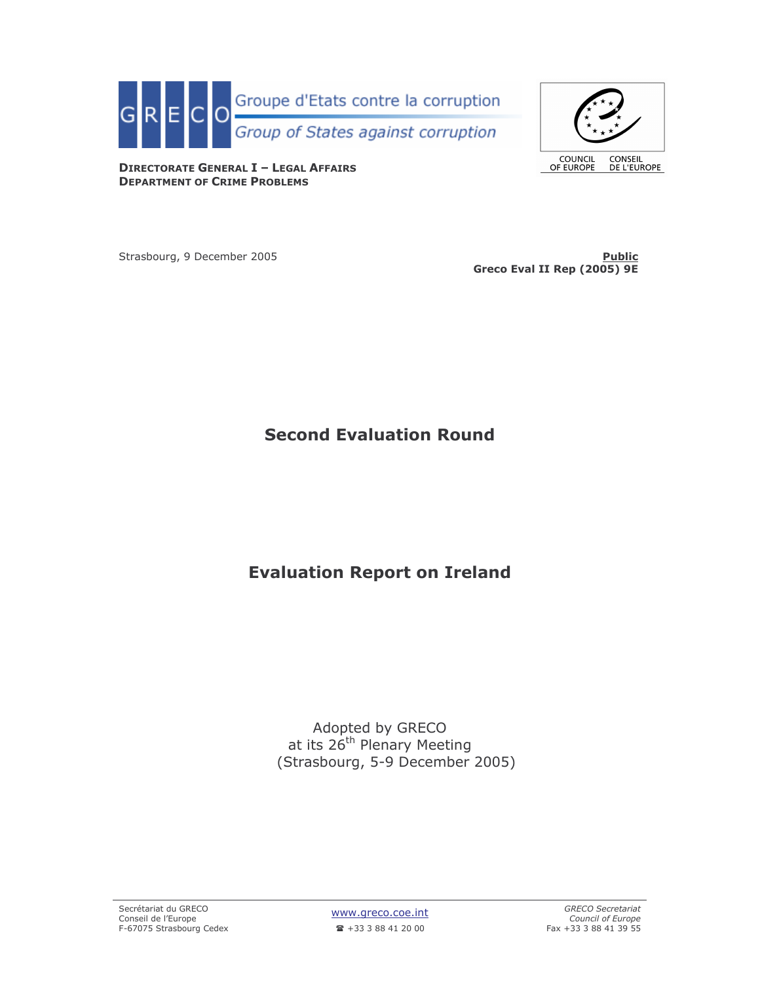



**DIRECTORATE GENERAL I - LEGAL AFFAIRS DEPARTMENT OF CRIME PROBLEMS** 

Strasbourg, 9 December 2005

**Public** Greco Eval II Rep (2005) 9E

# **Second Evaluation Round**

# **Evaluation Report on Ireland**

Adopted by GRECO<br>at its 26<sup>th</sup> Plenary Meeting<br>(Strasbourg, 5-9 December 2005)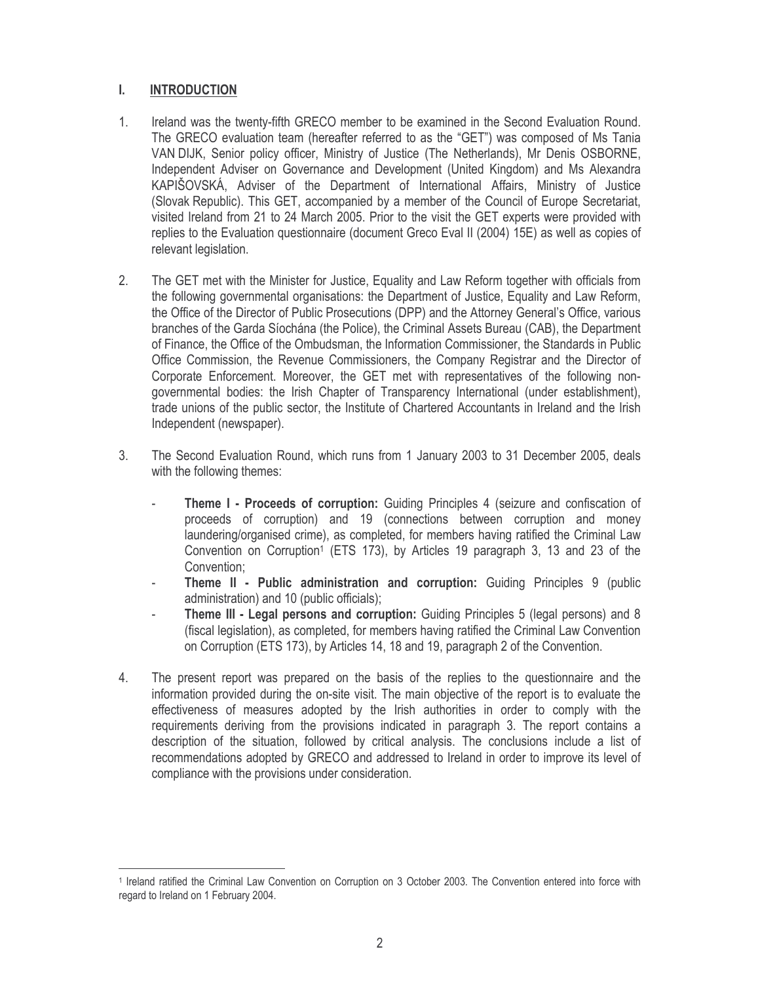#### L. **INTRODUCTION**

- $1<sup>1</sup>$ Ireland was the twenty-fifth GRECO member to be examined in the Second Evaluation Round. The GRECO evaluation team (hereafter referred to as the "GET") was composed of Ms Tania VAN DIJK, Senior policy officer, Ministry of Justice (The Netherlands), Mr Denis OSBORNE, Independent Adviser on Governance and Development (United Kingdom) and Ms Alexandra KAPIŠOVSKÁ, Adviser of the Department of International Affairs, Ministry of Justice (Slovak Republic). This GET, accompanied by a member of the Council of Europe Secretariat, visited Ireland from 21 to 24 March 2005. Prior to the visit the GET experts were provided with replies to the Evaluation questionnaire (document Greco Eval II (2004) 15E) as well as copies of relevant legislation.
- $2.$ The GET met with the Minister for Justice, Equality and Law Reform together with officials from the following governmental organisations: the Department of Justice, Equality and Law Reform, the Office of the Director of Public Prosecutions (DPP) and the Attorney General's Office, various branches of the Garda Síochána (the Police), the Criminal Assets Bureau (CAB), the Department of Finance, the Office of the Ombudsman, the Information Commissioner, the Standards in Public Office Commission, the Revenue Commissioners, the Company Registrar and the Director of Corporate Enforcement. Moreover, the GET met with representatives of the following nongovernmental bodies: the Irish Chapter of Transparency International (under establishment), trade unions of the public sector, the Institute of Chartered Accountants in Ireland and the Irish Independent (newspaper).
- $3<sub>1</sub>$ The Second Evaluation Round, which runs from 1 January 2003 to 31 December 2005, deals with the following themes:
	- **Theme I Proceeds of corruption:** Guiding Principles 4 (seizure and confiscation of proceeds of corruption) and 19 (connections between corruption and money laundering/organised crime), as completed, for members having ratified the Criminal Law Convention on Corruption<sup>1</sup> (ETS 173), by Articles 19 paragraph 3, 13 and 23 of the Convention:
	- Theme II Public administration and corruption: Guiding Principles 9 (public administration) and 10 (public officials);
	- Theme III Legal persons and corruption: Guiding Principles 5 (legal persons) and 8 (fiscal legislation), as completed, for members having ratified the Criminal Law Convention on Corruption (ETS 173), by Articles 14, 18 and 19, paragraph 2 of the Convention.
- 4. The present report was prepared on the basis of the replies to the questionnaire and the information provided during the on-site visit. The main objective of the report is to evaluate the effectiveness of measures adopted by the Irish authorities in order to comply with the requirements deriving from the provisions indicated in paragraph 3. The report contains a description of the situation, followed by critical analysis. The conclusions include a list of recommendations adopted by GRECO and addressed to Ireland in order to improve its level of compliance with the provisions under consideration.

<sup>&</sup>lt;sup>1</sup> Ireland ratified the Criminal Law Convention on Corruption on 3 October 2003. The Convention entered into force with regard to Ireland on 1 February 2004.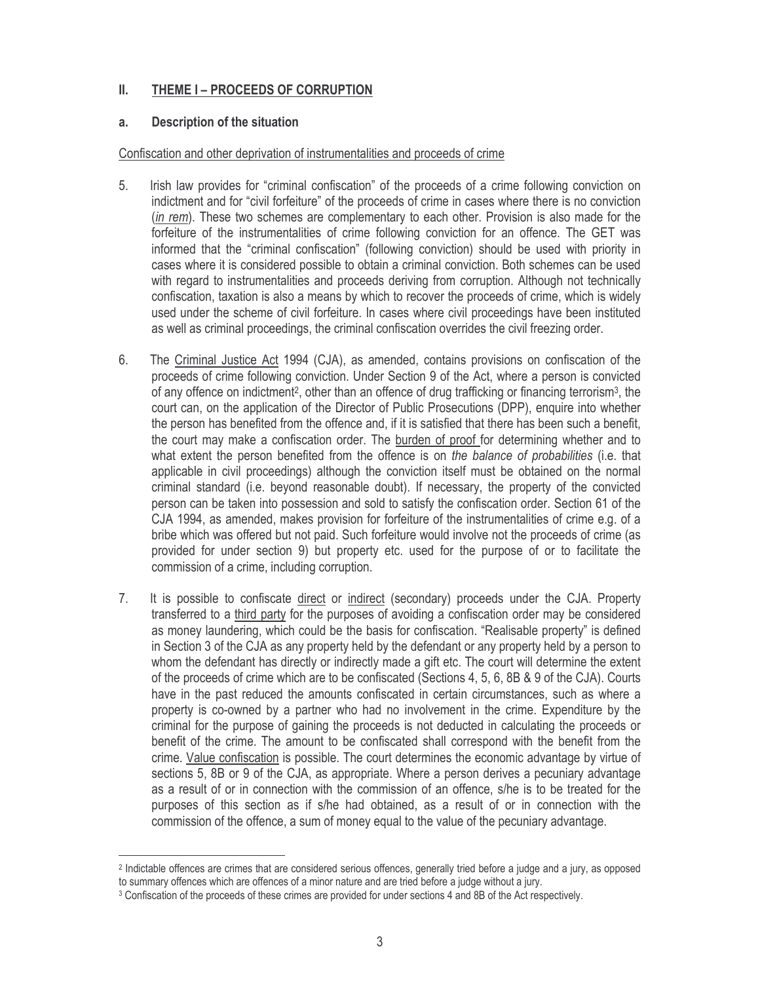#### II. THEME I - PROCEEDS OF CORRUPTION

#### **Description of the situation** a.

# Confiscation and other deprivation of instrumentalities and proceeds of crime

- Irish law provides for "criminal confiscation" of the proceeds of a crime following conviction on 5. indictment and for "civil forfeiture" of the proceeds of crime in cases where there is no conviction (in rem). These two schemes are complementary to each other. Provision is also made for the forfeiture of the instrumentalities of crime following conviction for an offence. The GET was informed that the "criminal confiscation" (following conviction) should be used with priority in cases where it is considered possible to obtain a criminal conviction. Both schemes can be used with regard to instrumentalities and proceeds deriving from corruption. Although not technically confiscation, taxation is also a means by which to recover the proceeds of crime, which is widely used under the scheme of civil forfeiture. In cases where civil proceedings have been instituted as well as criminal proceedings, the criminal confiscation overrides the civil freezing order.
- 6. The Criminal Justice Act 1994 (CJA), as amended, contains provisions on confiscation of the proceeds of crime following conviction. Under Section 9 of the Act, where a person is convicted of any offence on indictment<sup>2</sup>, other than an offence of drug trafficking or financing terrorism<sup>3</sup>, the court can, on the application of the Director of Public Prosecutions (DPP), enquire into whether the person has benefited from the offence and, if it is satisfied that there has been such a benefit, the court may make a confiscation order. The burden of proof for determining whether and to what extent the person benefited from the offence is on the balance of probabilities (i.e. that applicable in civil proceedings) although the conviction itself must be obtained on the normal criminal standard (i.e. beyond reasonable doubt). If necessary, the property of the convicted person can be taken into possession and sold to satisfy the confiscation order. Section 61 of the CJA 1994, as amended, makes provision for forfeiture of the instrumentalities of crime e.g. of a bribe which was offered but not paid. Such forfeiture would involve not the proceeds of crime (as provided for under section 9) but property etc. used for the purpose of or to facilitate the commission of a crime, including corruption.
- $7.$ It is possible to confiscate direct or indirect (secondary) proceeds under the CJA. Property transferred to a third party for the purposes of avoiding a confiscation order may be considered as money laundering, which could be the basis for confiscation. "Realisable property" is defined in Section 3 of the CJA as any property held by the defendant or any property held by a person to whom the defendant has directly or indirectly made a gift etc. The court will determine the extent of the proceeds of crime which are to be confiscated (Sections 4, 5, 6, 8B & 9 of the CJA). Courts have in the past reduced the amounts confiscated in certain circumstances, such as where a property is co-owned by a partner who had no involvement in the crime. Expenditure by the criminal for the purpose of gaining the proceeds is not deducted in calculating the proceeds or benefit of the crime. The amount to be confiscated shall correspond with the benefit from the crime. Value confiscation is possible. The court determines the economic advantage by virtue of sections 5, 8B or 9 of the CJA, as appropriate. Where a person derives a pecuniary advantage as a result of or in connection with the commission of an offence, s/he is to be treated for the purposes of this section as if s/he had obtained, as a result of or in connection with the commission of the offence, a sum of money equal to the value of the pecuniary advantage.

<sup>&</sup>lt;sup>2</sup> Indictable offences are crimes that are considered serious offences, generally tried before a judge and a jury, as opposed to summary offences which are offences of a minor nature and are tried before a judge without a jury.

<sup>&</sup>lt;sup>3</sup> Confiscation of the proceeds of these crimes are provided for under sections 4 and 8B of the Act respectively.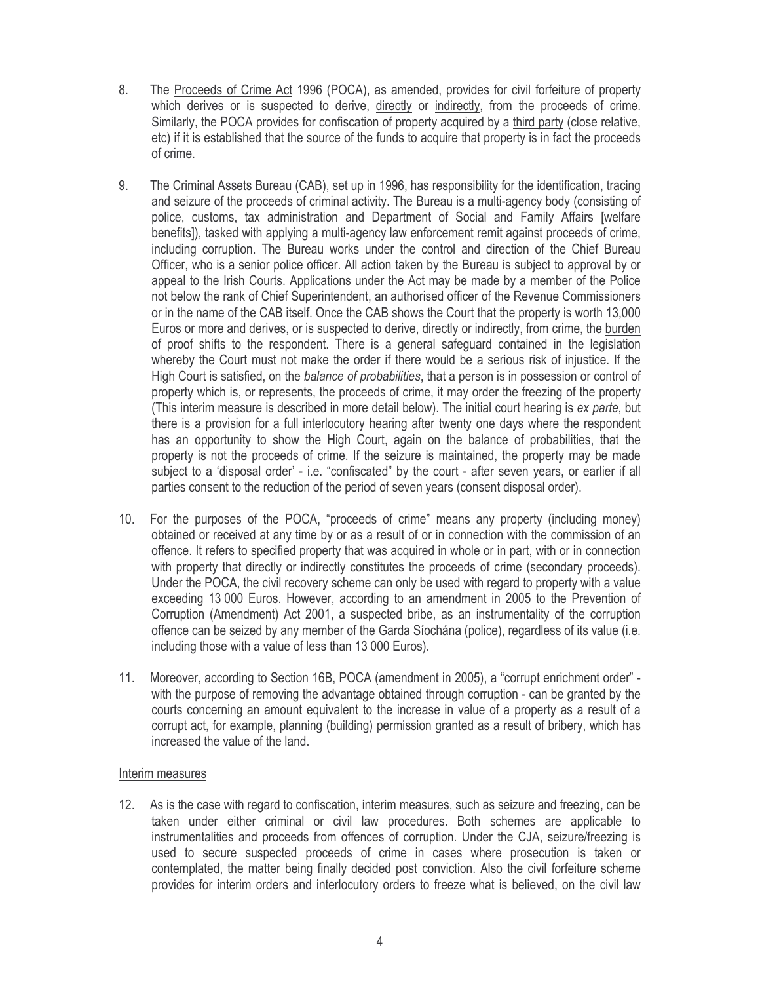- 8. The Proceeds of Crime Act 1996 (POCA), as amended, provides for civil forfeiture of property which derives or is suspected to derive, directly or indirectly, from the proceeds of crime. Similarly, the POCA provides for confiscation of property acquired by a third party (close relative, etc) if it is established that the source of the funds to acquire that property is in fact the proceeds of crime.
- 9. The Criminal Assets Bureau (CAB), set up in 1996, has responsibility for the identification, tracing and seizure of the proceeds of criminal activity. The Bureau is a multi-agency body (consisting of police, customs, tax administration and Department of Social and Family Affairs [welfare benefits]), tasked with applying a multi-agency law enforcement remit against proceeds of crime, including corruption. The Bureau works under the control and direction of the Chief Bureau Officer, who is a senior police officer. All action taken by the Bureau is subject to approval by or appeal to the Irish Courts. Applications under the Act may be made by a member of the Police not below the rank of Chief Superintendent, an authorised officer of the Revenue Commissioners or in the name of the CAB itself. Once the CAB shows the Court that the property is worth 13,000 Euros or more and derives, or is suspected to derive, directly or indirectly, from crime, the burden of proof shifts to the respondent. There is a general safeguard contained in the legislation whereby the Court must not make the order if there would be a serious risk of injustice. If the High Court is satisfied, on the balance of probabilities, that a person is in possession or control of property which is, or represents, the proceeds of crime, it may order the freezing of the property (This interim measure is described in more detail below). The initial court hearing is ex parte, but there is a provision for a full interlocutory hearing after twenty one days where the respondent has an opportunity to show the High Court, again on the balance of probabilities, that the property is not the proceeds of crime. If the seizure is maintained, the property may be made subject to a 'disposal order' - i.e. "confiscated" by the court - after seven years, or earlier if all parties consent to the reduction of the period of seven years (consent disposal order).
- 10. For the purposes of the POCA, "proceeds of crime" means any property (including money) obtained or received at any time by or as a result of or in connection with the commission of an offence. It refers to specified property that was acquired in whole or in part, with or in connection with property that directly or indirectly constitutes the proceeds of crime (secondary proceeds). Under the POCA, the civil recovery scheme can only be used with regard to property with a value exceeding 13 000 Euros. However, according to an amendment in 2005 to the Prevention of Corruption (Amendment) Act 2001, a suspected bribe, as an instrumentality of the corruption offence can be seized by any member of the Garda Síochána (police), regardless of its value (i.e. including those with a value of less than 13 000 Euros).
- Moreover, according to Section 16B, POCA (amendment in 2005), a "corrupt enrichment order" - $11.$ with the purpose of removing the advantage obtained through corruption - can be granted by the courts concerning an amount equivalent to the increase in value of a property as a result of a corrupt act, for example, planning (building) permission granted as a result of bribery, which has increased the value of the land.

### Interim measures

12. As is the case with regard to confiscation, interim measures, such as seizure and freezing, can be taken under either criminal or civil law procedures. Both schemes are applicable to instrumentalities and proceeds from offences of corruption. Under the CJA, seizure/freezing is used to secure suspected proceeds of crime in cases where prosecution is taken or contemplated, the matter being finally decided post conviction. Also the civil forfeiture scheme provides for interim orders and interlocutory orders to freeze what is believed, on the civil law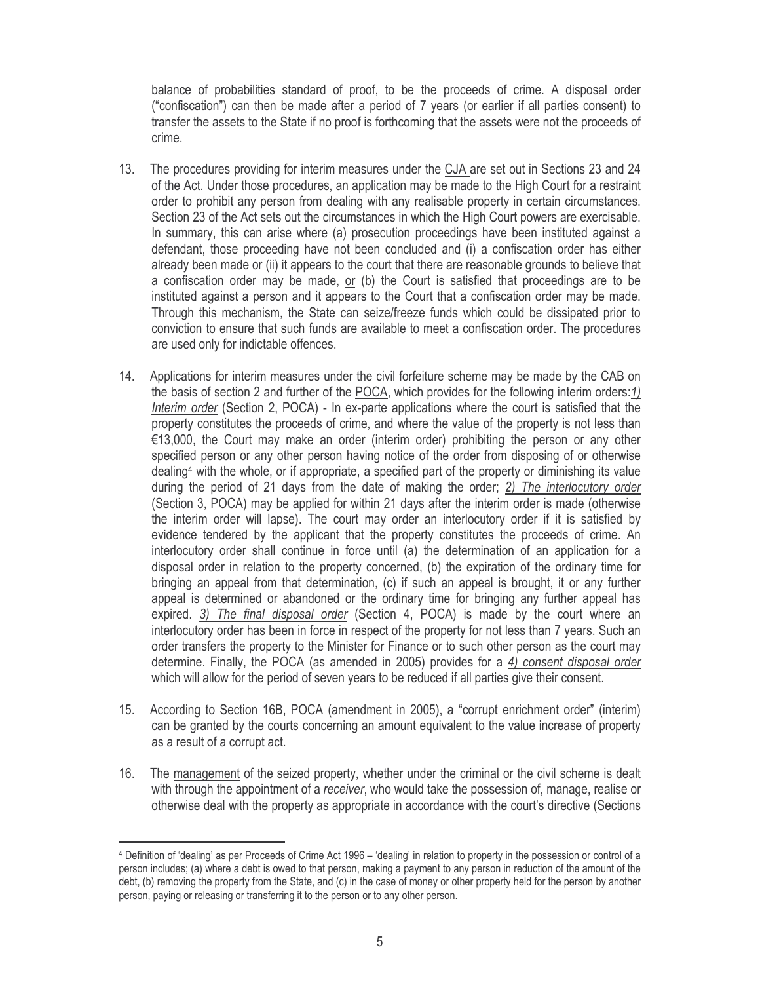balance of probabilities standard of proof, to be the proceeds of crime. A disposal order ("confiscation") can then be made after a period of 7 years (or earlier if all parties consent) to transfer the assets to the State if no proof is forthcoming that the assets were not the proceeds of crime.

- $13.$ The procedures providing for interim measures under the CJA are set out in Sections 23 and 24 of the Act. Under those procedures, an application may be made to the High Court for a restraint order to prohibit any person from dealing with any realisable property in certain circumstances. Section 23 of the Act sets out the circumstances in which the High Court powers are exercisable. In summary, this can arise where (a) prosecution proceedings have been instituted against a defendant, those proceeding have not been concluded and (i) a confiscation order has either already been made or (ii) it appears to the court that there are reasonable grounds to believe that a confiscation order may be made, or (b) the Court is satisfied that proceedings are to be instituted against a person and it appears to the Court that a confiscation order may be made. Through this mechanism, the State can seize/freeze funds which could be dissipated prior to conviction to ensure that such funds are available to meet a confiscation order. The procedures are used only for indictable offences.
- 14. Applications for interim measures under the civil forfeiture scheme may be made by the CAB on the basis of section 2 and further of the POCA, which provides for the following interim orders: 1) Interim order (Section 2, POCA) - In ex-parte applications where the court is satisfied that the property constitutes the proceeds of crime, and where the value of the property is not less than €13,000, the Court may make an order (interim order) prohibiting the person or any other specified person or any other person having notice of the order from disposing of or otherwise dealing<sup>4</sup> with the whole, or if appropriate, a specified part of the property or diminishing its value during the period of 21 days from the date of making the order; 2) The interlocutory order (Section 3, POCA) may be applied for within 21 days after the interim order is made (otherwise the interim order will lapse). The court may order an interlocutory order if it is satisfied by evidence tendered by the applicant that the property constitutes the proceeds of crime. An interlocutory order shall continue in force until (a) the determination of an application for a disposal order in relation to the property concerned, (b) the expiration of the ordinary time for bringing an appeal from that determination, (c) if such an appeal is brought, it or any further appeal is determined or abandoned or the ordinary time for bringing any further appeal has expired. 3) The final disposal order (Section 4, POCA) is made by the court where an interlocutory order has been in force in respect of the property for not less than 7 years. Such an order transfers the property to the Minister for Finance or to such other person as the court may determine. Finally, the POCA (as amended in 2005) provides for a 4) consent disposal order which will allow for the period of seven years to be reduced if all parties give their consent.
- According to Section 16B, POCA (amendment in 2005), a "corrupt enrichment order" (interim)  $15.$ can be granted by the courts concerning an amount equivalent to the value increase of property as a result of a corrupt act.
- The management of the seized property, whether under the criminal or the civil scheme is dealt  $16.$ with through the appointment of a receiver, who would take the possession of, manage, realise or otherwise deal with the property as appropriate in accordance with the court's directive (Sections

<sup>4</sup> Definition of 'dealing' as per Proceeds of Crime Act 1996 – 'dealing' in relation to property in the possession or control of a person includes; (a) where a debt is owed to that person, making a payment to any person in reduction of the amount of the debt, (b) removing the property from the State, and (c) in the case of money or other property held for the person by another person, paying or releasing or transferring it to the person or to any other person.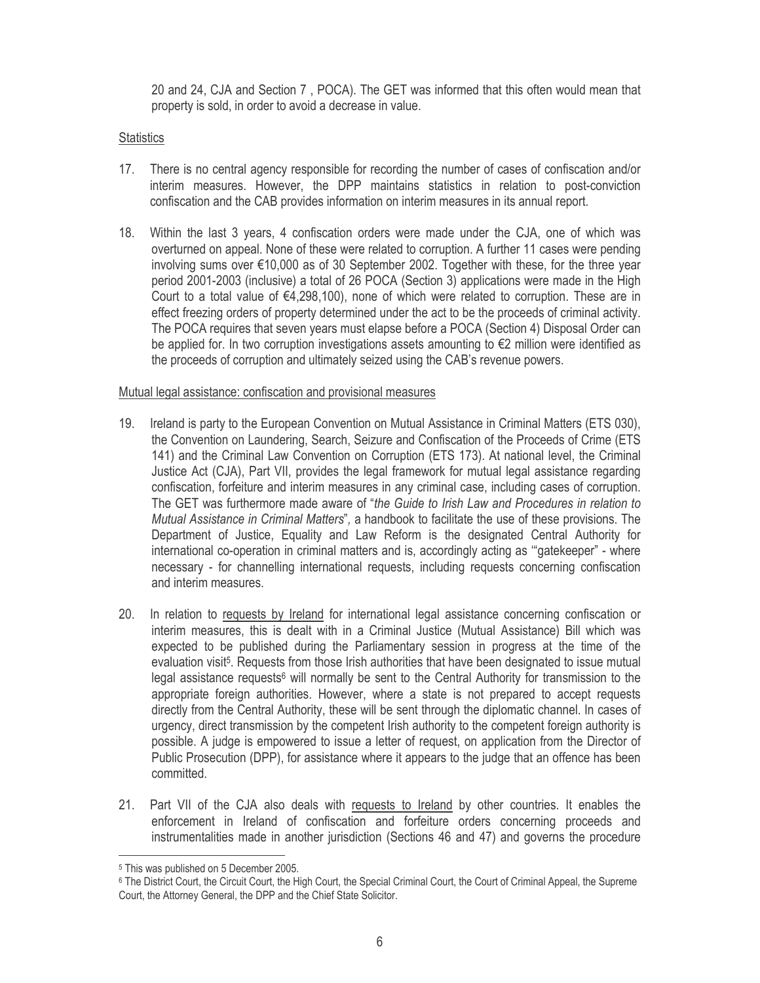20 and 24, CJA and Section 7, POCA). The GET was informed that this often would mean that property is sold, in order to avoid a decrease in value.

# **Statistics**

- 17. There is no central agency responsible for recording the number of cases of confiscation and/or interim measures. However, the DPP maintains statistics in relation to post-conviction confiscation and the CAB provides information on interim measures in its annual report.
- 18. Within the last 3 years, 4 confiscation orders were made under the CJA, one of which was overturned on appeal. None of these were related to corruption. A further 11 cases were pending involving sums over €10,000 as of 30 September 2002. Together with these, for the three year period 2001-2003 (inclusive) a total of 26 POCA (Section 3) applications were made in the High Court to a total value of  $\epsilon$ 4,298,100), none of which were related to corruption. These are in effect freezing orders of property determined under the act to be the proceeds of criminal activity. The POCA requires that seven years must elapse before a POCA (Section 4) Disposal Order can be applied for. In two corruption investigations assets amounting to  $\epsilon$ 2 million were identified as the proceeds of corruption and ultimately seized using the CAB's revenue powers.

### Mutual legal assistance: confiscation and provisional measures

- 19. Ireland is party to the European Convention on Mutual Assistance in Criminal Matters (ETS 030), the Convention on Laundering, Search, Seizure and Confiscation of the Proceeds of Crime (ETS 141) and the Criminal Law Convention on Corruption (ETS 173). At national level, the Criminal Justice Act (CJA), Part VII, provides the legal framework for mutual legal assistance regarding confiscation, forfeiture and interim measures in any criminal case, including cases of corruption. The GET was furthermore made aware of "the Guide to Irish Law and Procedures in relation to Mutual Assistance in Criminal Matters", a handbook to facilitate the use of these provisions. The Department of Justice, Equality and Law Reform is the designated Central Authority for international co-operation in criminal matters and is, accordingly acting as "gatekeeper" - where necessary - for channelling international requests, including requests concerning confiscation and interim measures.
- $20.$ In relation to requests by Ireland for international legal assistance concerning confiscation or interim measures, this is dealt with in a Criminal Justice (Mutual Assistance) Bill which was expected to be published during the Parliamentary session in progress at the time of the evaluation visit<sup>5</sup>. Requests from those Irish authorities that have been designated to issue mutual legal assistance requests<sup>6</sup> will normally be sent to the Central Authority for transmission to the appropriate foreign authorities. However, where a state is not prepared to accept requests directly from the Central Authority, these will be sent through the diplomatic channel. In cases of urgency, direct transmission by the competent Irish authority to the competent foreign authority is possible. A judge is empowered to issue a letter of request, on application from the Director of Public Prosecution (DPP), for assistance where it appears to the judge that an offence has been committed.
- 21. Part VII of the CJA also deals with requests to Ireland by other countries. It enables the enforcement in Ireland of confiscation and forfeiture orders concerning proceeds and instrumentalities made in another jurisdiction (Sections 46 and 47) and governs the procedure

<sup>&</sup>lt;sup>5</sup> This was published on 5 December 2005.

<sup>&</sup>lt;sup>6</sup> The District Court, the Circuit Court, the High Court, the Special Criminal Court, the Court of Criminal Appeal, the Supreme Court, the Attorney General, the DPP and the Chief State Solicitor.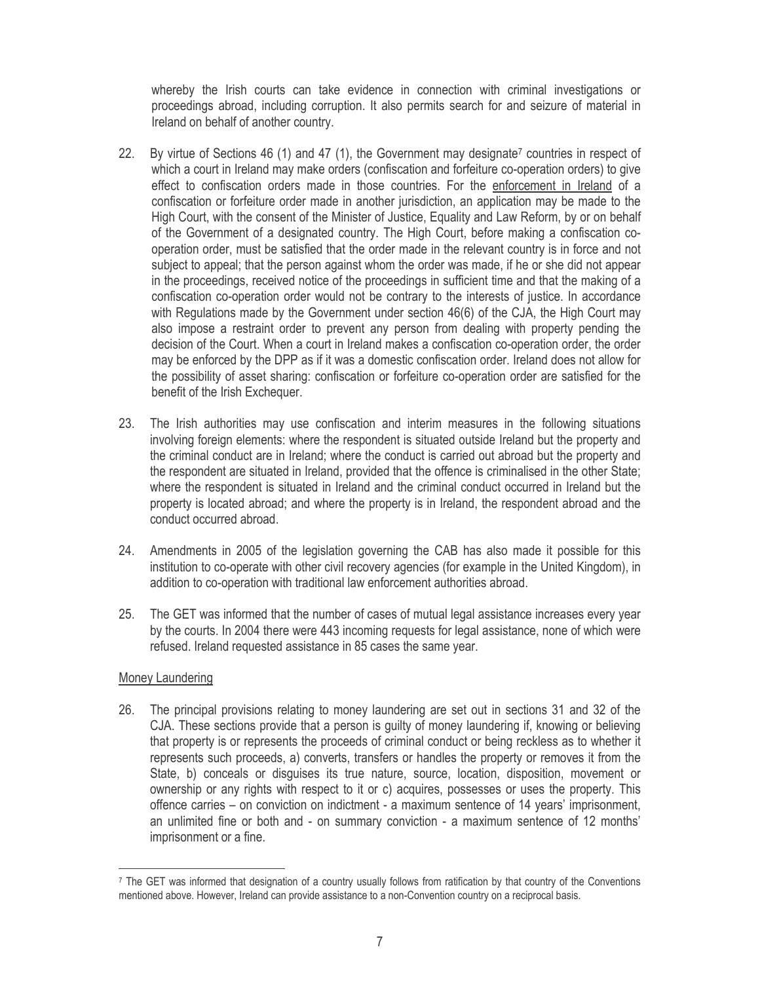whereby the Irish courts can take evidence in connection with criminal investigations or proceedings abroad, including corruption. It also permits search for and seizure of material in Ireland on behalf of another country.

- $22.$ By virtue of Sections 46 (1) and 47 (1), the Government may designate<sup>7</sup> countries in respect of which a court in Ireland may make orders (confiscation and forfeiture co-operation orders) to give effect to confiscation orders made in those countries. For the enforcement in Ireland of a confiscation or forfeiture order made in another jurisdiction, an application may be made to the High Court, with the consent of the Minister of Justice, Equality and Law Reform, by or on behalf of the Government of a designated country. The High Court, before making a confiscation cooperation order, must be satisfied that the order made in the relevant country is in force and not subject to appeal; that the person against whom the order was made, if he or she did not appear in the proceedings, received notice of the proceedings in sufficient time and that the making of a confiscation co-operation order would not be contrary to the interests of justice. In accordance with Regulations made by the Government under section 46(6) of the CJA, the High Court may also impose a restraint order to prevent any person from dealing with property pending the decision of the Court. When a court in Ireland makes a confiscation co-operation order, the order may be enforced by the DPP as if it was a domestic confiscation order. Ireland does not allow for the possibility of asset sharing: confiscation or forfeiture co-operation order are satisfied for the benefit of the Irish Exchequer.
- 23. The Irish authorities may use confiscation and interim measures in the following situations involving foreign elements: where the respondent is situated outside Ireland but the property and the criminal conduct are in Ireland; where the conduct is carried out abroad but the property and the respondent are situated in Ireland, provided that the offence is criminalised in the other State; where the respondent is situated in Ireland and the criminal conduct occurred in Ireland but the property is located abroad; and where the property is in Ireland, the respondent abroad and the conduct occurred abroad.
- 24. Amendments in 2005 of the legislation governing the CAB has also made it possible for this institution to co-operate with other civil recovery agencies (for example in the United Kingdom), in addition to co-operation with traditional law enforcement authorities abroad.
- $25.$ The GET was informed that the number of cases of mutual legal assistance increases every year by the courts. In 2004 there were 443 incoming requests for legal assistance, none of which were refused. Ireland requested assistance in 85 cases the same year.

### Money Laundering

26. The principal provisions relating to money laundering are set out in sections 31 and 32 of the CJA. These sections provide that a person is guilty of money laundering if, knowing or believing that property is or represents the proceeds of criminal conduct or being reckless as to whether it represents such proceeds, a) converts, transfers or handles the property or removes it from the State, b) conceals or disquises its true nature, source, location, disposition, movement or ownership or any rights with respect to it or c) acquires, possesses or uses the property. This offence carries – on conviction on indictment - a maximum sentence of 14 years' imprisonment, an unlimited fine or both and - on summary conviction - a maximum sentence of 12 months' imprisonment or a fine.

<sup>&</sup>lt;sup>7</sup> The GET was informed that designation of a country usually follows from ratification by that country of the Conventions mentioned above. However, Ireland can provide assistance to a non-Convention country on a reciprocal basis.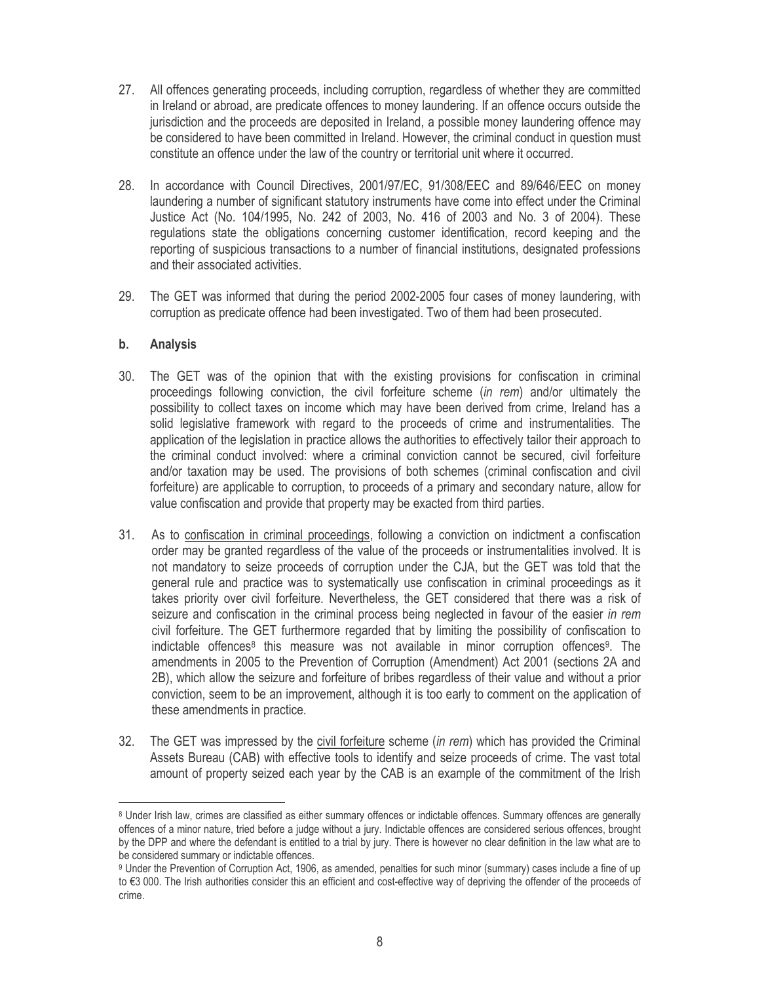- 27. All offences generating proceeds, including corruption, regardless of whether they are committed in Ireland or abroad, are predicate offences to money laundering. If an offence occurs outside the jurisdiction and the proceeds are deposited in Ireland, a possible money laundering offence may be considered to have been committed in Ireland. However, the criminal conduct in question must constitute an offence under the law of the country or territorial unit where it occurred.
- 28. In accordance with Council Directives, 2001/97/EC, 91/308/EEC and 89/646/EEC on money laundering a number of significant statutory instruments have come into effect under the Criminal Justice Act (No. 104/1995, No. 242 of 2003, No. 416 of 2003 and No. 3 of 2004). These requlations state the obligations concerning customer identification, record keeping and the reporting of suspicious transactions to a number of financial institutions, designated professions and their associated activities.
- 29. The GET was informed that during the period 2002-2005 four cases of money laundering, with corruption as predicate offence had been investigated. Two of them had been prosecuted.

#### $\mathbf b$ . **Analysis**

- 30. The GET was of the opinion that with the existing provisions for confiscation in criminal proceedings following conviction, the civil forfeiture scheme (in rem) and/or ultimately the possibility to collect taxes on income which may have been derived from crime, Ireland has a solid legislative framework with regard to the proceeds of crime and instrumentalities. The application of the legislation in practice allows the authorities to effectively tailor their approach to the criminal conduct involved: where a criminal conviction cannot be secured, civil forfeiture and/or taxation may be used. The provisions of both schemes (criminal confiscation and civil forfeiture) are applicable to corruption, to proceeds of a primary and secondary nature, allow for value confiscation and provide that property may be exacted from third parties.
- 31. As to confiscation in criminal proceedings, following a conviction on indictment a confiscation order may be granted regardless of the value of the proceeds or instrumentalities involved. It is not mandatory to seize proceeds of corruption under the CJA, but the GET was told that the general rule and practice was to systematically use confiscation in criminal proceedings as it takes priority over civil forfeiture. Nevertheless, the GET considered that there was a risk of seizure and confiscation in the criminal process being neglected in favour of the easier in rem civil forfeiture. The GET furthermore regarded that by limiting the possibility of confiscation to indictable offences<sup>8</sup> this measure was not available in minor corruption offences<sup>9</sup>. The amendments in 2005 to the Prevention of Corruption (Amendment) Act 2001 (sections 2A and 2B), which allow the seizure and forfeiture of bribes regardless of their value and without a prior conviction, seem to be an improvement, although it is too early to comment on the application of these amendments in practice.
- 32. The GET was impressed by the civil forfeiture scheme (in rem) which has provided the Criminal Assets Bureau (CAB) with effective tools to identify and seize proceeds of crime. The vast total amount of property seized each year by the CAB is an example of the commitment of the Irish

<sup>&</sup>lt;sup>8</sup> Under Irish law, crimes are classified as either summary offences or indictable offences. Summary offences are generally offences of a minor nature, tried before a judge without a jury. Indictable offences are considered serious offences, brought by the DPP and where the defendant is entitled to a trial by jury. There is however no clear definition in the law what are to be considered summary or indictable offences.

<sup>&</sup>lt;sup>9</sup> Under the Prevention of Corruption Act, 1906, as amended, penalties for such minor (summary) cases include a fine of up to €3 000. The Irish authorities consider this an efficient and cost-effective way of depriving the offender of the proceeds of crime.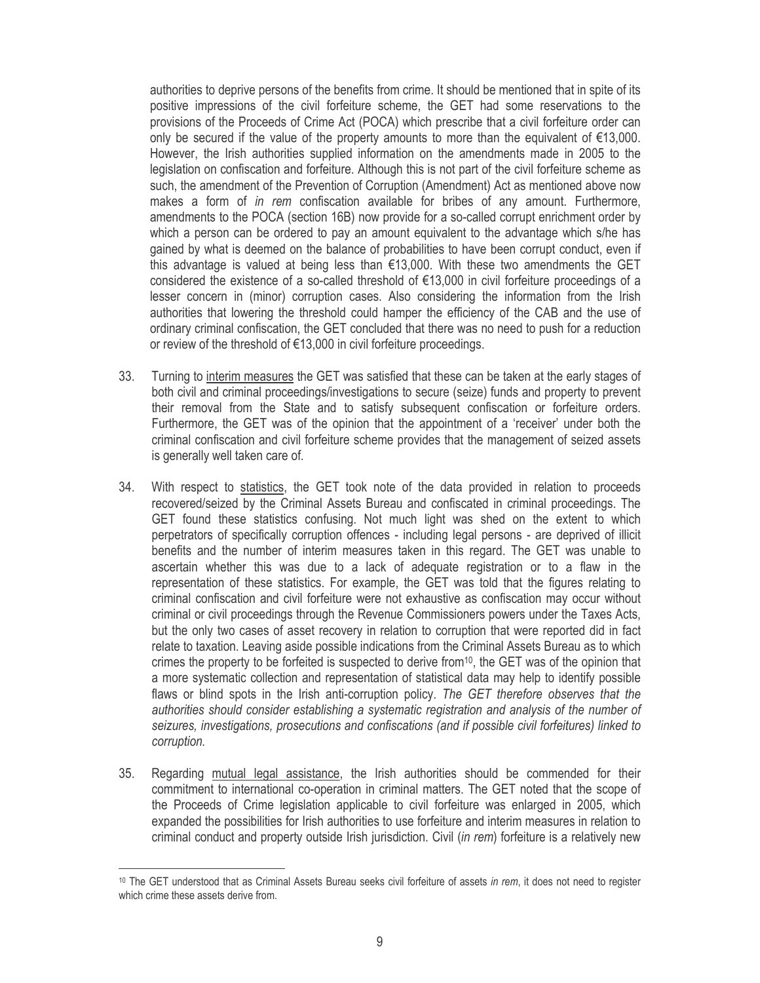authorities to deprive persons of the benefits from crime. It should be mentioned that in spite of its positive impressions of the civil forfeiture scheme, the GET had some reservations to the provisions of the Proceeds of Crime Act (POCA) which prescribe that a civil forfeiture order can only be secured if the value of the property amounts to more than the equivalent of  $\epsilon$ 13,000. However, the Irish authorities supplied information on the amendments made in 2005 to the legislation on confiscation and forfeiture. Although this is not part of the civil forfeiture scheme as such, the amendment of the Prevention of Corruption (Amendment) Act as mentioned above now makes a form of in rem confiscation available for bribes of any amount. Furthermore, amendments to the POCA (section 16B) now provide for a so-called corrupt enrichment order by which a person can be ordered to pay an amount equivalent to the advantage which s/he has gained by what is deemed on the balance of probabilities to have been corrupt conduct, even if this advantage is valued at being less than  $\epsilon$ 13,000. With these two amendments the GET considered the existence of a so-called threshold of €13,000 in civil forfeiture proceedings of a lesser concern in (minor) corruption cases. Also considering the information from the Irish authorities that lowering the threshold could hamper the efficiency of the CAB and the use of ordinary criminal confiscation, the GET concluded that there was no need to push for a reduction or review of the threshold of €13,000 in civil forfeiture proceedings.

- 33. Turning to interim measures the GET was satisfied that these can be taken at the early stages of both civil and criminal proceedings/investigations to secure (seize) funds and property to prevent their removal from the State and to satisfy subsequent confiscation or forfeiture orders. Furthermore, the GET was of the opinion that the appointment of a 'receiver' under both the criminal confiscation and civil forfeiture scheme provides that the management of seized assets is generally well taken care of.
- 34. With respect to statistics, the GET took note of the data provided in relation to proceeds recovered/seized by the Criminal Assets Bureau and confiscated in criminal proceedings. The GET found these statistics confusing. Not much light was shed on the extent to which perpetrators of specifically corruption offences - including legal persons - are deprived of illicit benefits and the number of interim measures taken in this regard. The GET was unable to ascertain whether this was due to a lack of adequate registration or to a flaw in the representation of these statistics. For example, the GET was told that the figures relating to criminal confiscation and civil forfeiture were not exhaustive as confiscation may occur without criminal or civil proceedings through the Revenue Commissioners powers under the Taxes Acts, but the only two cases of asset recovery in relation to corruption that were reported did in fact relate to taxation. Leaving aside possible indications from the Criminal Assets Bureau as to which crimes the property to be forfeited is suspected to derive from<sup>10</sup>, the GET was of the opinion that a more systematic collection and representation of statistical data may help to identify possible flaws or blind spots in the Irish anti-corruption policy. The GET therefore observes that the authorities should consider establishing a systematic registration and analysis of the number of seizures, investigations, prosecutions and confiscations (and if possible civil forfeitures) linked to corruption.
- Regarding mutual legal assistance, the Irish authorities should be commended for their 35. commitment to international co-operation in criminal matters. The GET noted that the scope of the Proceeds of Crime legislation applicable to civil forfeiture was enlarged in 2005, which expanded the possibilities for Irish authorities to use forfeiture and interim measures in relation to criminal conduct and property outside Irish jurisdiction. Civil (in rem) forfeiture is a relatively new

<sup>&</sup>lt;sup>10</sup> The GET understood that as Criminal Assets Bureau seeks civil forfeiture of assets in rem, it does not need to register which crime these assets derive from.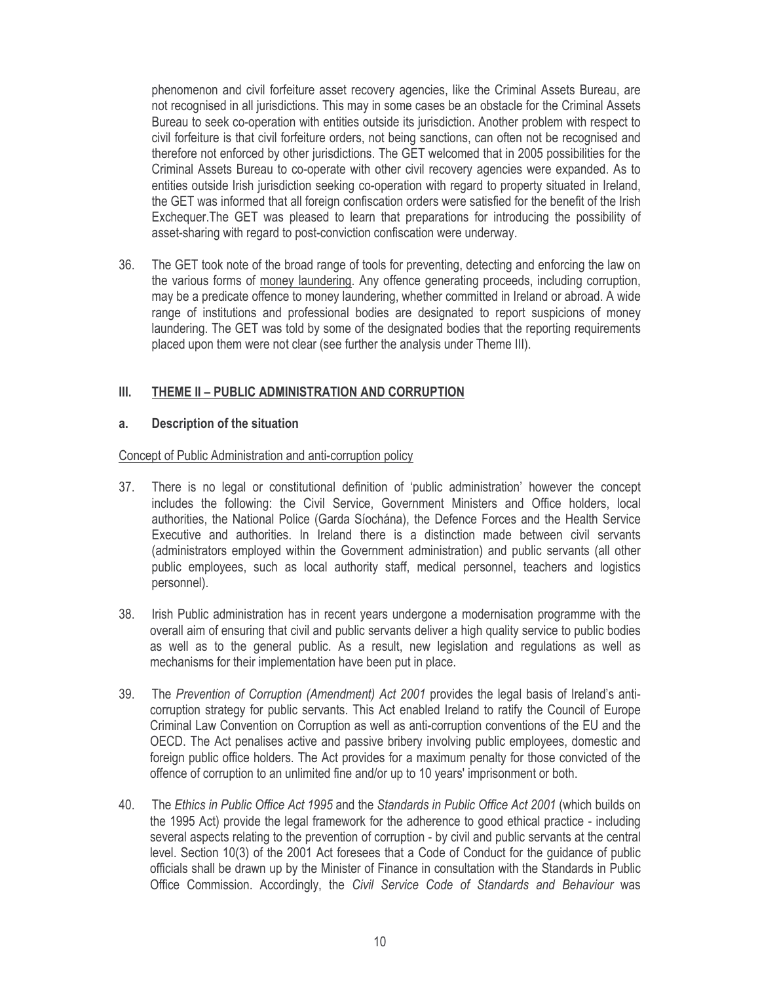phenomenon and civil forfeiture asset recovery agencies, like the Criminal Assets Bureau, are not recognised in all jurisdictions. This may in some cases be an obstacle for the Criminal Assets Bureau to seek co-operation with entities outside its jurisdiction. Another problem with respect to civil forfeiture is that civil forfeiture orders, not being sanctions, can often not be recognised and therefore not enforced by other jurisdictions. The GET welcomed that in 2005 possibilities for the Criminal Assets Bureau to co-operate with other civil recovery agencies were expanded. As to entities outside Irish jurisdiction seeking co-operation with regard to property situated in Ireland, the GET was informed that all foreign confiscation orders were satisfied for the benefit of the Irish Exchequer. The GET was pleased to learn that preparations for introducing the possibility of asset-sharing with regard to post-conviction confiscation were underway.

36. The GET took note of the broad range of tools for preventing, detecting and enforcing the law on the various forms of money laundering. Any offence generating proceeds, including corruption, may be a predicate offence to money laundering, whether committed in Ireland or abroad. A wide range of institutions and professional bodies are designated to report suspicions of money laundering. The GET was told by some of the designated bodies that the reporting requirements placed upon them were not clear (see further the analysis under Theme III).

#### $III.$ THEME II - PUBLIC ADMINISTRATION AND CORRUPTION

#### a. **Description of the situation**

### Concept of Public Administration and anti-corruption policy

- There is no legal or constitutional definition of 'public administration' however the concept 37. includes the following: the Civil Service, Government Ministers and Office holders, local authorities, the National Police (Garda Síochána), the Defence Forces and the Health Service Executive and authorities. In Ireland there is a distinction made between civil servants (administrators employed within the Government administration) and public servants (all other public employees, such as local authority staff, medical personnel, teachers and logistics personnel).
- 38. Irish Public administration has in recent years undergone a modernisation programme with the overall aim of ensuring that civil and public servants deliver a high quality service to public bodies as well as to the general public. As a result, new legislation and regulations as well as mechanisms for their implementation have been put in place.
- 39. The Prevention of Corruption (Amendment) Act 2001 provides the legal basis of Ireland's anticorruption strategy for public servants. This Act enabled Ireland to ratify the Council of Europe Criminal Law Convention on Corruption as well as anti-corruption conventions of the EU and the OECD. The Act penalises active and passive bribery involving public employees, domestic and foreign public office holders. The Act provides for a maximum penalty for those convicted of the offence of corruption to an unlimited fine and/or up to 10 years' imprisonment or both.
- 40. The Ethics in Public Office Act 1995 and the Standards in Public Office Act 2001 (which builds on the 1995 Act) provide the legal framework for the adherence to good ethical practice - including several aspects relating to the prevention of corruption - by civil and public servants at the central level. Section 10(3) of the 2001 Act foresees that a Code of Conduct for the quidance of public officials shall be drawn up by the Minister of Finance in consultation with the Standards in Public Office Commission. Accordingly, the Civil Service Code of Standards and Behaviour was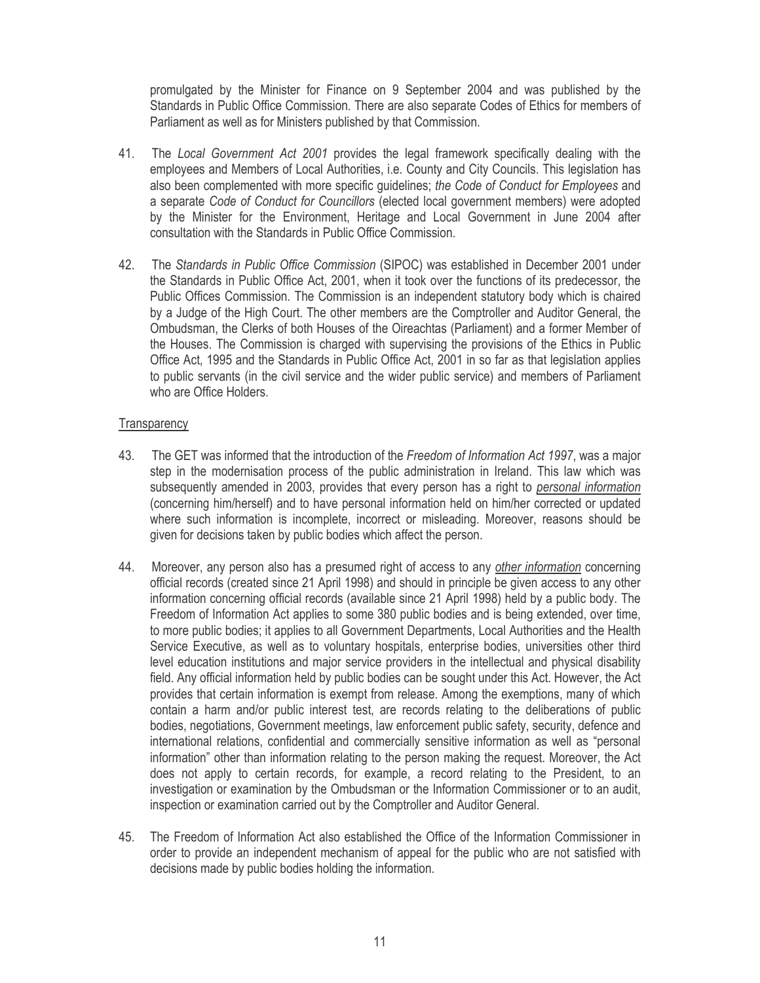promulgated by the Minister for Finance on 9 September 2004 and was published by the Standards in Public Office Commission. There are also separate Codes of Ethics for members of Parliament as well as for Ministers published by that Commission.

- 41. The Local Government Act 2001 provides the legal framework specifically dealing with the employees and Members of Local Authorities, i.e. County and City Councils. This legislation has also been complemented with more specific guidelines; the Code of Conduct for Employees and a separate Code of Conduct for Councillors (elected local government members) were adopted by the Minister for the Environment, Heritage and Local Government in June 2004 after consultation with the Standards in Public Office Commission.
- 42. The Standards in Public Office Commission (SIPOC) was established in December 2001 under the Standards in Public Office Act, 2001, when it took over the functions of its predecessor, the Public Offices Commission. The Commission is an independent statutory body which is chaired by a Judge of the High Court. The other members are the Comptroller and Auditor General, the Ombudsman, the Clerks of both Houses of the Oireachtas (Parliament) and a former Member of the Houses. The Commission is charged with supervising the provisions of the Ethics in Public Office Act, 1995 and the Standards in Public Office Act, 2001 in so far as that legislation applies to public servants (in the civil service and the wider public service) and members of Parliament who are Office Holders.

### Transparency

- 43 The GET was informed that the introduction of the Freedom of Information Act 1997, was a major step in the modernisation process of the public administration in Ireland. This law which was subsequently amended in 2003, provides that every person has a right to personal information (concerning him/herself) and to have personal information held on him/her corrected or updated where such information is incomplete, incorrect or misleading. Moreover, reasons should be given for decisions taken by public bodies which affect the person.
- Moreover, any person also has a presumed right of access to any other information concerning 44. official records (created since 21 April 1998) and should in principle be given access to any other information concerning official records (available since 21 April 1998) held by a public body. The Freedom of Information Act applies to some 380 public bodies and is being extended, over time, to more public bodies; it applies to all Government Departments, Local Authorities and the Health Service Executive, as well as to voluntary hospitals, enterprise bodies, universities other third level education institutions and major service providers in the intellectual and physical disability field. Any official information held by public bodies can be sought under this Act. However, the Act provides that certain information is exempt from release. Among the exemptions, many of which contain a harm and/or public interest test, are records relating to the deliberations of public bodies, negotiations, Government meetings, law enforcement public safety, security, defence and international relations, confidential and commercially sensitive information as well as "personal information" other than information relating to the person making the request. Moreover, the Act does not apply to certain records, for example, a record relating to the President, to an investigation or examination by the Ombudsman or the Information Commissioner or to an audit, inspection or examination carried out by the Comptroller and Auditor General.
- 45. The Freedom of Information Act also established the Office of the Information Commissioner in order to provide an independent mechanism of appeal for the public who are not satisfied with decisions made by public bodies holding the information.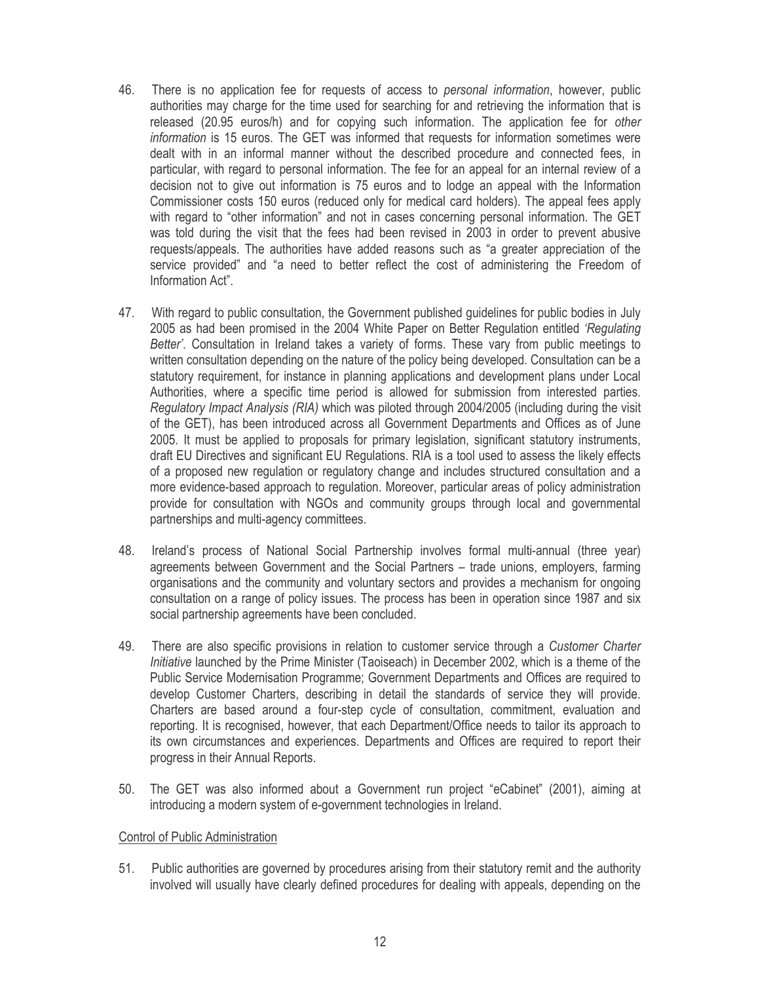- 46. There is no application fee for requests of access to *personal information*, however, public authorities may charge for the time used for searching for and retrieving the information that is released (20.95 euros/h) and for copying such information. The application fee for other information is 15 euros. The GET was informed that requests for information sometimes were dealt with in an informal manner without the described procedure and connected fees, in particular, with regard to personal information. The fee for an appeal for an internal review of a decision not to give out information is 75 euros and to lodge an appeal with the Information Commissioner costs 150 euros (reduced only for medical card holders). The appeal fees apply with regard to "other information" and not in cases concerning personal information. The GET was told during the visit that the fees had been revised in 2003 in order to prevent abusive requests/appeals. The authorities have added reasons such as "a greater appreciation of the service provided" and "a need to better reflect the cost of administering the Freedom of Information Act".
- 47. With regard to public consultation, the Government published guidelines for public bodies in July 2005 as had been promised in the 2004 White Paper on Better Regulation entitled 'Regulating Better'. Consultation in Ireland takes a variety of forms. These vary from public meetings to written consultation depending on the nature of the policy being developed. Consultation can be a statutory requirement, for instance in planning applications and development plans under Local Authorities, where a specific time period is allowed for submission from interested parties. Regulatory Impact Analysis (RIA) which was piloted through 2004/2005 (including during the visit of the GET), has been introduced across all Government Departments and Offices as of June 2005. It must be applied to proposals for primary legislation, significant statutory instruments, draft EU Directives and significant EU Regulations. RIA is a tool used to assess the likely effects of a proposed new regulation or regulatory change and includes structured consultation and a more evidence-based approach to regulation. Moreover, particular areas of policy administration provide for consultation with NGOs and community groups through local and governmental partnerships and multi-agency committees.
- 48. Ireland's process of National Social Partnership involves formal multi-annual (three year) agreements between Government and the Social Partners - trade unions, employers, farming organisations and the community and voluntary sectors and provides a mechanism for ongoing consultation on a range of policy issues. The process has been in operation since 1987 and six social partnership agreements have been concluded.
- 49 There are also specific provisions in relation to customer service through a Customer Charter Initiative launched by the Prime Minister (Taoiseach) in December 2002, which is a theme of the Public Service Modernisation Programme; Government Departments and Offices are required to develop Customer Charters, describing in detail the standards of service they will provide. Charters are based around a four-step cycle of consultation, commitment, evaluation and reporting. It is recognised, however, that each Department/Office needs to tailor its approach to its own circumstances and experiences. Departments and Offices are required to report their progress in their Annual Reports.
- The GET was also informed about a Government run project "eCabinet" (2001), aiming at 50. introducing a modern system of e-government technologies in Ireland.

### Control of Public Administration

51. Public authorities are governed by procedures arising from their statutory remit and the authority involved will usually have clearly defined procedures for dealing with appeals, depending on the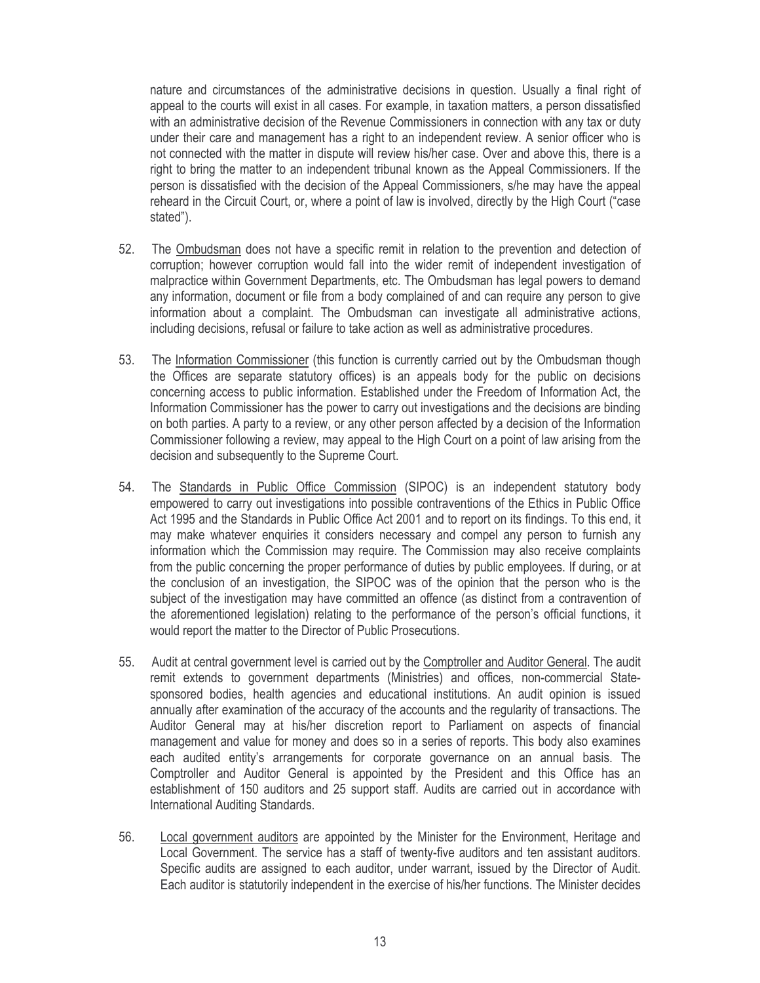nature and circumstances of the administrative decisions in question. Usually a final right of appeal to the courts will exist in all cases. For example, in taxation matters, a person dissatisfied with an administrative decision of the Revenue Commissioners in connection with any tax or duty under their care and management has a right to an independent review. A senior officer who is not connected with the matter in dispute will review his/her case. Over and above this, there is a right to bring the matter to an independent tribunal known as the Appeal Commissioners. If the person is dissatisfied with the decision of the Appeal Commissioners, s/he may have the appeal reheard in the Circuit Court, or, where a point of law is involved, directly by the High Court ("case stated").

- $52.$ The Ombudsman does not have a specific remit in relation to the prevention and detection of corruption; however corruption would fall into the wider remit of independent investigation of malpractice within Government Departments, etc. The Ombudsman has legal powers to demand any information, document or file from a body complained of and can require any person to give information about a complaint. The Ombudsman can investigate all administrative actions, including decisions, refusal or failure to take action as well as administrative procedures.
- 53. The Information Commissioner (this function is currently carried out by the Ombudsman though the Offices are separate statutory offices) is an appeals body for the public on decisions concerning access to public information. Established under the Freedom of Information Act, the Information Commissioner has the power to carry out investigations and the decisions are binding on both parties. A party to a review, or any other person affected by a decision of the Information Commissioner following a review, may appeal to the High Court on a point of law arising from the decision and subsequently to the Supreme Court.
- 54. The Standards in Public Office Commission (SIPOC) is an independent statutory body empowered to carry out investigations into possible contraventions of the Ethics in Public Office Act 1995 and the Standards in Public Office Act 2001 and to report on its findings. To this end, it may make whatever enquiries it considers necessary and compel any person to furnish any information which the Commission may require. The Commission may also receive complaints from the public concerning the proper performance of duties by public employees. If during, or at the conclusion of an investigation, the SIPOC was of the opinion that the person who is the subject of the investigation may have committed an offence (as distinct from a contravention of the aforementioned legislation) relating to the performance of the person's official functions, it would report the matter to the Director of Public Prosecutions.
- 55. Audit at central government level is carried out by the Comptroller and Auditor General. The audit remit extends to government departments (Ministries) and offices, non-commercial Statesponsored bodies, health agencies and educational institutions. An audit opinion is issued annually after examination of the accuracy of the accounts and the regularity of transactions. The Auditor General may at his/her discretion report to Parliament on aspects of financial management and value for money and does so in a series of reports. This body also examines each audited entity's arrangements for corporate governance on an annual basis. The Comptroller and Auditor General is appointed by the President and this Office has an establishment of 150 auditors and 25 support staff. Audits are carried out in accordance with International Auditing Standards.
- Local government auditors are appointed by the Minister for the Environment, Heritage and 56. Local Government. The service has a staff of twenty-five auditors and ten assistant auditors. Specific audits are assigned to each auditor, under warrant, issued by the Director of Audit. Each auditor is statutorily independent in the exercise of his/her functions. The Minister decides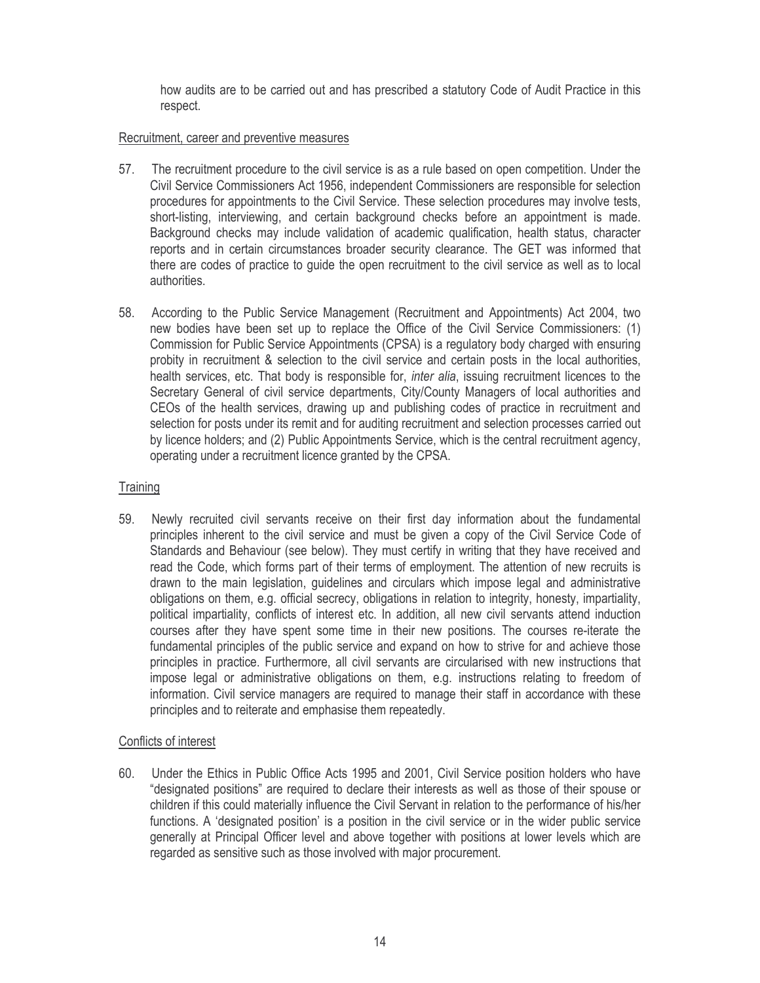how audits are to be carried out and has prescribed a statutory Code of Audit Practice in this respect.

# Recruitment, career and preventive measures

- 57. The recruitment procedure to the civil service is as a rule based on open competition. Under the Civil Service Commissioners Act 1956, independent Commissioners are responsible for selection procedures for appointments to the Civil Service. These selection procedures may involve tests. short-listing, interviewing, and certain background checks before an appointment is made. Background checks may include validation of academic qualification, health status, character reports and in certain circumstances broader security clearance. The GET was informed that there are codes of practice to guide the open recruitment to the civil service as well as to local authorities.
- 58. According to the Public Service Management (Recruitment and Appointments) Act 2004, two new bodies have been set up to replace the Office of the Civil Service Commissioners: (1) Commission for Public Service Appointments (CPSA) is a regulatory body charged with ensuring probity in recruitment & selection to the civil service and certain posts in the local authorities, health services, etc. That body is responsible for, *inter alia*, issuing recruitment licences to the Secretary General of civil service departments, City/County Managers of local authorities and CEOs of the health services, drawing up and publishing codes of practice in recruitment and selection for posts under its remit and for auditing recruitment and selection processes carried out by licence holders; and (2) Public Appointments Service, which is the central recruitment agency, operating under a recruitment licence granted by the CPSA.

# Training

59. Newly recruited civil servants receive on their first day information about the fundamental principles inherent to the civil service and must be given a copy of the Civil Service Code of Standards and Behaviour (see below). They must certify in writing that they have received and read the Code, which forms part of their terms of employment. The attention of new recruits is drawn to the main legislation, guidelines and circulars which impose legal and administrative obligations on them, e.g. official secrecy, obligations in relation to integrity, honesty, impartiality, political impartiality, conflicts of interest etc. In addition, all new civil servants attend induction courses after they have spent some time in their new positions. The courses re-iterate the fundamental principles of the public service and expand on how to strive for and achieve those principles in practice. Furthermore, all civil servants are circularised with new instructions that impose legal or administrative obligations on them, e.g. instructions relating to freedom of information. Civil service managers are required to manage their staff in accordance with these principles and to reiterate and emphasise them repeatedly.

# Conflicts of interest

60. Under the Ethics in Public Office Acts 1995 and 2001, Civil Service position holders who have "designated positions" are required to declare their interests as well as those of their spouse or children if this could materially influence the Civil Servant in relation to the performance of his/her functions. A 'designated position' is a position in the civil service or in the wider public service generally at Principal Officer level and above together with positions at lower levels which are regarded as sensitive such as those involved with major procurement.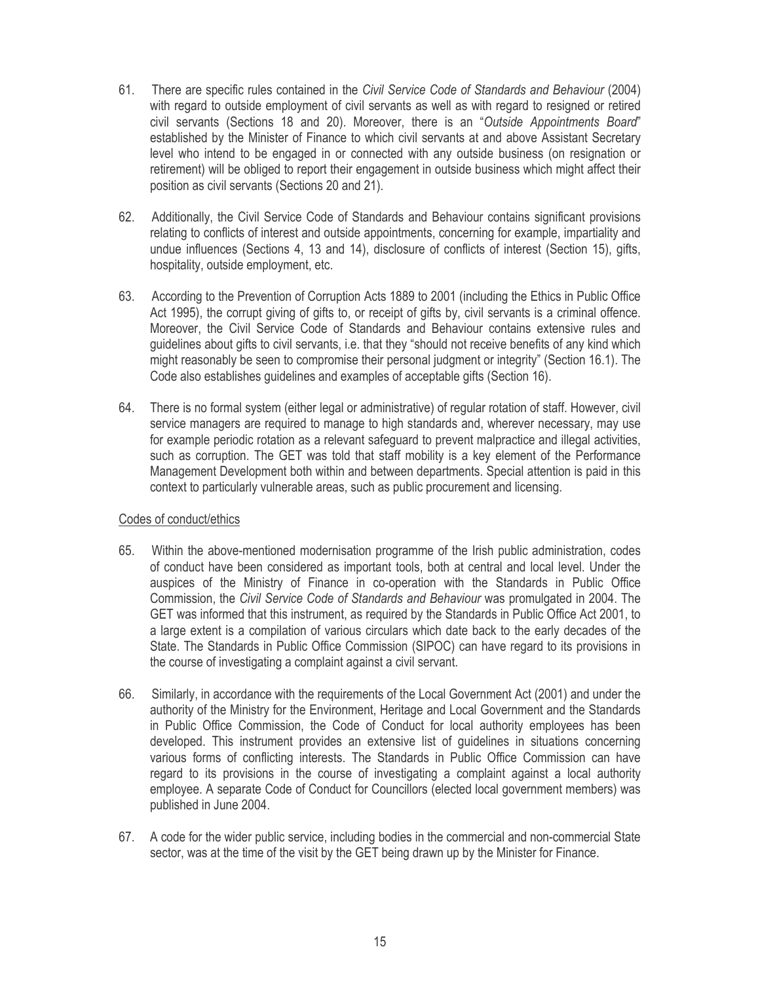- 61. There are specific rules contained in the Civil Service Code of Standards and Behaviour (2004) with regard to outside employment of civil servants as well as with regard to resigned or retired civil servants (Sections 18 and 20). Moreover, there is an "Outside Appointments Board" established by the Minister of Finance to which civil servants at and above Assistant Secretary level who intend to be engaged in or connected with any outside business (on resignation or retirement) will be obliged to report their engagement in outside business which might affect their position as civil servants (Sections 20 and 21).
- 62. Additionally, the Civil Service Code of Standards and Behaviour contains significant provisions relating to conflicts of interest and outside appointments, concerning for example, impartiality and undue influences (Sections 4, 13 and 14), disclosure of conflicts of interest (Section 15), gifts, hospitality, outside employment, etc.
- 63. According to the Prevention of Corruption Acts 1889 to 2001 (including the Ethics in Public Office Act 1995), the corrupt giving of gifts to, or receipt of gifts by, civil servants is a criminal offence. Moreover, the Civil Service Code of Standards and Behaviour contains extensive rules and quidelines about gifts to civil servants, i.e. that they "should not receive benefits of any kind which might reasonably be seen to compromise their personal judgment or integrity" (Section 16.1). The Code also establishes guidelines and examples of acceptable gifts (Section 16).
- 64. There is no formal system (either legal or administrative) of regular rotation of staff. However, civil service managers are required to manage to high standards and, wherever necessary, may use for example periodic rotation as a relevant safeguard to prevent malpractice and illegal activities. such as corruption. The GET was told that staff mobility is a key element of the Performance Management Development both within and between departments. Special attention is paid in this context to particularly vulnerable areas, such as public procurement and licensing.

### Codes of conduct/ethics

- 65. Within the above-mentioned modernisation programme of the Irish public administration, codes of conduct have been considered as important tools, both at central and local level. Under the auspices of the Ministry of Finance in co-operation with the Standards in Public Office Commission, the Civil Service Code of Standards and Behaviour was promulgated in 2004. The GET was informed that this instrument, as required by the Standards in Public Office Act 2001, to a large extent is a compilation of various circulars which date back to the early decades of the State. The Standards in Public Office Commission (SIPOC) can have regard to its provisions in the course of investigating a complaint against a civil servant.
- 66. Similarly, in accordance with the requirements of the Local Government Act (2001) and under the authority of the Ministry for the Environment, Heritage and Local Government and the Standards in Public Office Commission, the Code of Conduct for local authority employees has been developed. This instrument provides an extensive list of quidelines in situations concerning various forms of conflicting interests. The Standards in Public Office Commission can have regard to its provisions in the course of investigating a complaint against a local authority employee. A separate Code of Conduct for Councillors (elected local government members) was published in June 2004.
- 67. A code for the wider public service, including bodies in the commercial and non-commercial State sector, was at the time of the visit by the GET being drawn up by the Minister for Finance.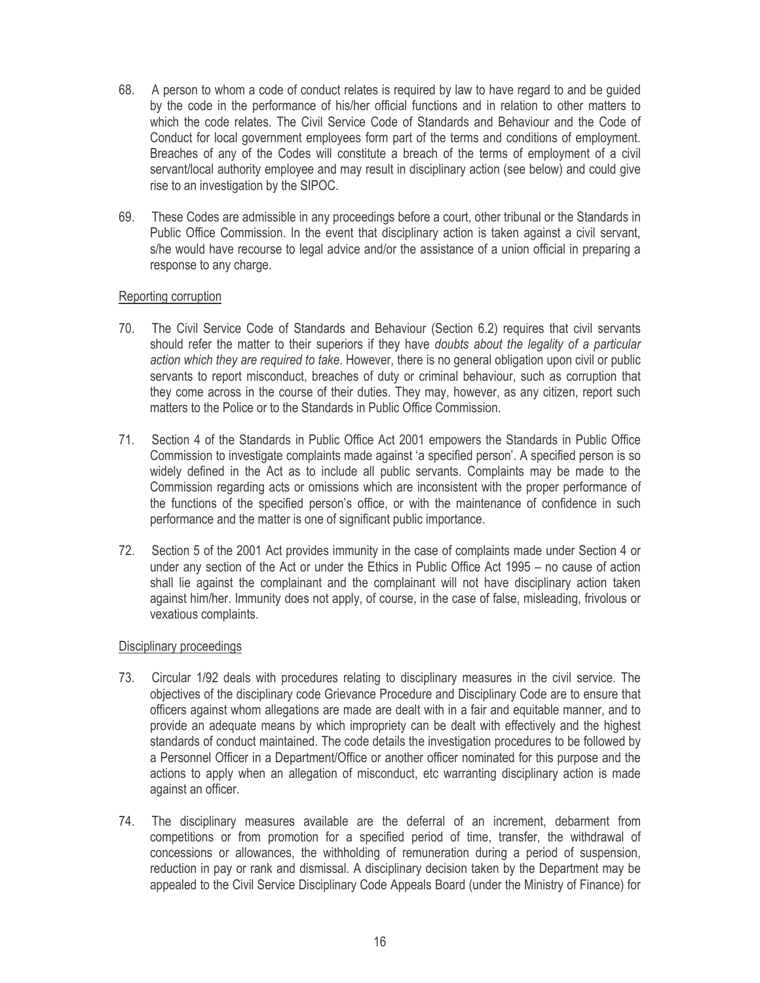- 68. A person to whom a code of conduct relates is required by law to have regard to and be guided by the code in the performance of his/her official functions and in relation to other matters to which the code relates. The Civil Service Code of Standards and Behaviour and the Code of Conduct for local government employees form part of the terms and conditions of employment. Breaches of any of the Codes will constitute a breach of the terms of employment of a civil servant/local authority employee and may result in disciplinary action (see below) and could give rise to an investigation by the SIPOC.
- 69. These Codes are admissible in any proceedings before a court, other tribunal or the Standards in Public Office Commission. In the event that disciplinary action is taken against a civil servant. s/he would have recourse to legal advice and/or the assistance of a union official in preparing a response to any charge.

# Reporting corruption

- 70. The Civil Service Code of Standards and Behaviour (Section 6.2) requires that civil servants should refer the matter to their superiors if they have *doubts* about the legality of a particular action which they are required to take. However, there is no general obligation upon civil or public servants to report misconduct, breaches of duty or criminal behaviour, such as corruption that they come across in the course of their duties. They may, however, as any citizen, report such matters to the Police or to the Standards in Public Office Commission.
- 71. Section 4 of the Standards in Public Office Act 2001 empowers the Standards in Public Office Commission to investigate complaints made against 'a specified person'. A specified person is so widely defined in the Act as to include all public servants. Complaints may be made to the Commission regarding acts or omissions which are inconsistent with the proper performance of the functions of the specified person's office, or with the maintenance of confidence in such performance and the matter is one of significant public importance.
- 72. Section 5 of the 2001 Act provides immunity in the case of complaints made under Section 4 or under any section of the Act or under the Ethics in Public Office Act 1995 – no cause of action shall lie against the complainant and the complainant will not have disciplinary action taken against him/her. Immunity does not apply, of course, in the case of false, misleading, frivolous or vexatious complaints.

### Disciplinary proceedings

- 73. Circular 1/92 deals with procedures relating to disciplinary measures in the civil service. The objectives of the disciplinary code Grievance Procedure and Disciplinary Code are to ensure that officers against whom allegations are made are dealt with in a fair and equitable manner, and to provide an adequate means by which impropriety can be dealt with effectively and the highest standards of conduct maintained. The code details the investigation procedures to be followed by a Personnel Officer in a Department/Office or another officer nominated for this purpose and the actions to apply when an allegation of misconduct, etc warranting disciplinary action is made against an officer.
- 74. The disciplinary measures available are the deferral of an increment, debarment from competitions or from promotion for a specified period of time, transfer, the withdrawal of concessions or allowances, the withholding of remuneration during a period of suspension, reduction in pay or rank and dismissal. A disciplinary decision taken by the Department may be appealed to the Civil Service Disciplinary Code Appeals Board (under the Ministry of Finance) for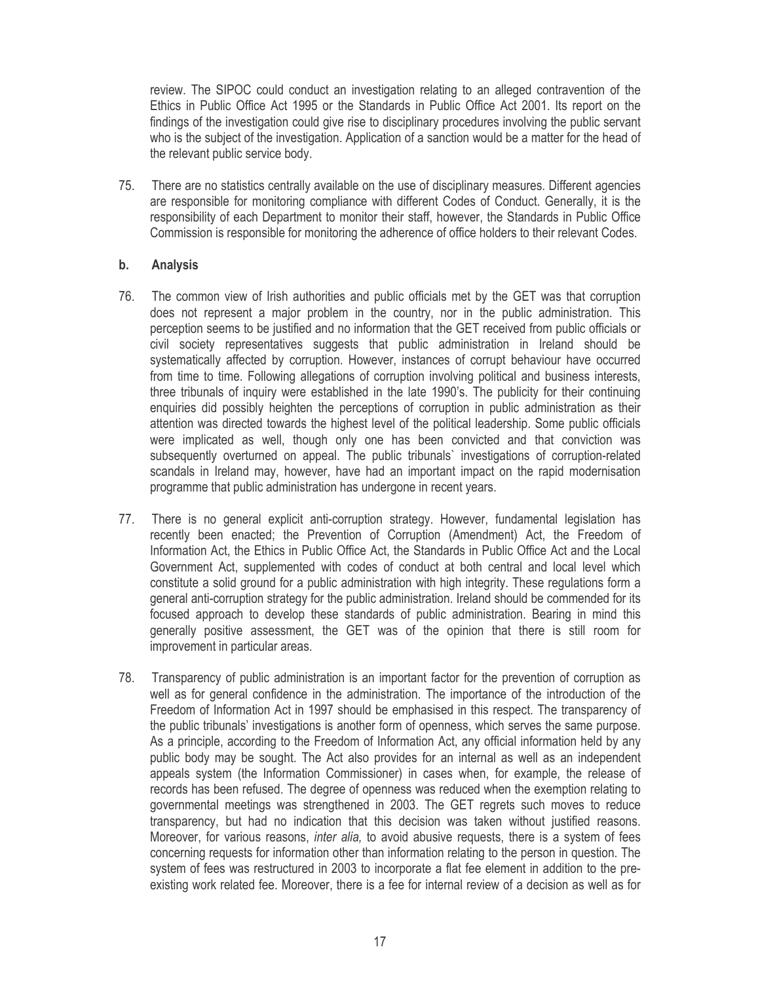review. The SIPOC could conduct an investigation relating to an alleged contravention of the Ethics in Public Office Act 1995 or the Standards in Public Office Act 2001. Its report on the findings of the investigation could give rise to disciplinary procedures involving the public servant who is the subject of the investigation. Application of a sanction would be a matter for the head of the relevant public service body.

75. There are no statistics centrally available on the use of disciplinary measures. Different agencies are responsible for monitoring compliance with different Codes of Conduct. Generally, it is the responsibility of each Department to monitor their staff, however, the Standards in Public Office Commission is responsible for monitoring the adherence of office holders to their relevant Codes.

#### b. **Analysis**

- 76. The common view of Irish authorities and public officials met by the GET was that corruption does not represent a major problem in the country, nor in the public administration. This perception seems to be justified and no information that the GET received from public officials or civil society representatives suggests that public administration in Ireland should be systematically affected by corruption. However, instances of corrupt behaviour have occurred from time to time. Following allegations of corruption involving political and business interests, three tribunals of inquiry were established in the late 1990's. The publicity for their continuing enquiries did possibly heighten the perceptions of corruption in public administration as their attention was directed towards the highest level of the political leadership. Some public officials were implicated as well, though only one has been convicted and that conviction was subsequently overturned on appeal. The public tribunals' investigations of corruption-related scandals in Ireland may, however, have had an important impact on the rapid modernisation programme that public administration has undergone in recent years.
- 77. There is no general explicit anti-corruption strategy. However, fundamental legislation has recently been enacted; the Prevention of Corruption (Amendment) Act, the Freedom of Information Act, the Ethics in Public Office Act, the Standards in Public Office Act and the Local Government Act, supplemented with codes of conduct at both central and local level which constitute a solid ground for a public administration with high integrity. These regulations form a general anti-corruption strategy for the public administration. Ireland should be commended for its focused approach to develop these standards of public administration. Bearing in mind this generally positive assessment, the GET was of the opinion that there is still room for improvement in particular areas.
- 78. Transparency of public administration is an important factor for the prevention of corruption as well as for general confidence in the administration. The importance of the introduction of the Freedom of Information Act in 1997 should be emphasised in this respect. The transparency of the public tribunals' investigations is another form of openness, which serves the same purpose. As a principle, according to the Freedom of Information Act, any official information held by any public body may be sought. The Act also provides for an internal as well as an independent appeals system (the Information Commissioner) in cases when, for example, the release of records has been refused. The degree of openness was reduced when the exemption relating to governmental meetings was strengthened in 2003. The GET regrets such moves to reduce transparency, but had no indication that this decision was taken without justified reasons. Moreover, for various reasons, *inter alia*, to avoid abusive requests, there is a system of fees concerning requests for information other than information relating to the person in question. The system of fees was restructured in 2003 to incorporate a flat fee element in addition to the preexisting work related fee. Moreover, there is a fee for internal review of a decision as well as for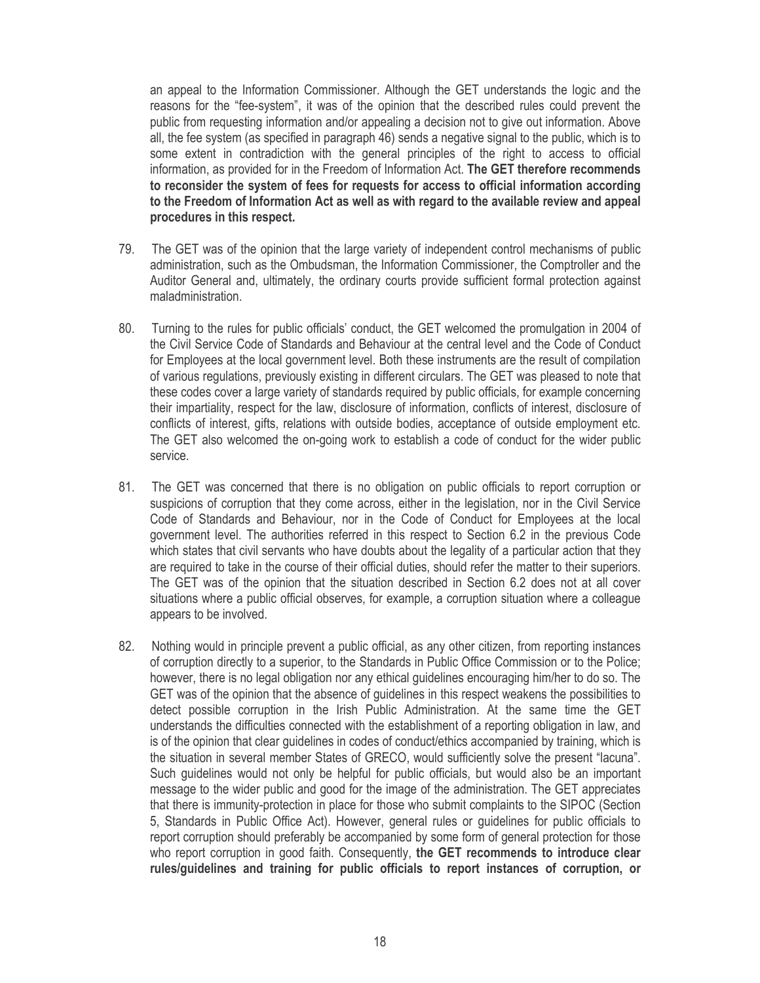an appeal to the Information Commissioner. Although the GET understands the logic and the reasons for the "fee-system", it was of the opinion that the described rules could prevent the public from requesting information and/or appealing a decision not to give out information. Above all, the fee system (as specified in paragraph 46) sends a negative signal to the public, which is to some extent in contradiction with the general principles of the right to access to official information, as provided for in the Freedom of Information Act. The GET therefore recommends to reconsider the system of fees for requests for access to official information according to the Freedom of Information Act as well as with regard to the available review and appeal procedures in this respect.

- The GET was of the opinion that the large variety of independent control mechanisms of public 79. administration, such as the Ombudsman, the Information Commissioner, the Comptroller and the Auditor General and, ultimately, the ordinary courts provide sufficient formal protection against maladministration.
- 80. Turning to the rules for public officials' conduct, the GET welcomed the promulgation in 2004 of the Civil Service Code of Standards and Behaviour at the central level and the Code of Conduct for Employees at the local government level. Both these instruments are the result of compilation of various regulations, previously existing in different circulars. The GET was pleased to note that these codes cover a large variety of standards required by public officials, for example concerning their impartiality, respect for the law, disclosure of information, conflicts of interest, disclosure of conflicts of interest, gifts, relations with outside bodies, acceptance of outside employment etc. The GET also welcomed the on-going work to establish a code of conduct for the wider public service.
- 81. The GET was concerned that there is no obligation on public officials to report corruption or suspicions of corruption that they come across, either in the legislation, nor in the Civil Service Code of Standards and Behaviour, nor in the Code of Conduct for Employees at the local government level. The authorities referred in this respect to Section 6.2 in the previous Code which states that civil servants who have doubts about the legality of a particular action that they are required to take in the course of their official duties, should refer the matter to their superiors. The GET was of the opinion that the situation described in Section 6.2 does not at all cover situations where a public official observes, for example, a corruption situation where a colleague appears to be involved.
- 82. Nothing would in principle prevent a public official, as any other citizen, from reporting instances of corruption directly to a superior, to the Standards in Public Office Commission or to the Police; however, there is no legal obligation nor any ethical quidelines encouraging him/her to do so. The GET was of the opinion that the absence of guidelines in this respect weakens the possibilities to detect possible corruption in the Irish Public Administration. At the same time the GET understands the difficulties connected with the establishment of a reporting obligation in law, and is of the opinion that clear quidelines in codes of conduct/ethics accompanied by training, which is the situation in several member States of GRECO, would sufficiently solve the present "lacuna". Such guidelines would not only be helpful for public officials, but would also be an important message to the wider public and good for the image of the administration. The GET appreciates that there is immunity-protection in place for those who submit complaints to the SIPOC (Section 5, Standards in Public Office Act). However, general rules or guidelines for public officials to report corruption should preferably be accompanied by some form of general protection for those who report corruption in good faith. Consequently, the GET recommends to introduce clear rules/quidelines and training for public officials to report instances of corruption, or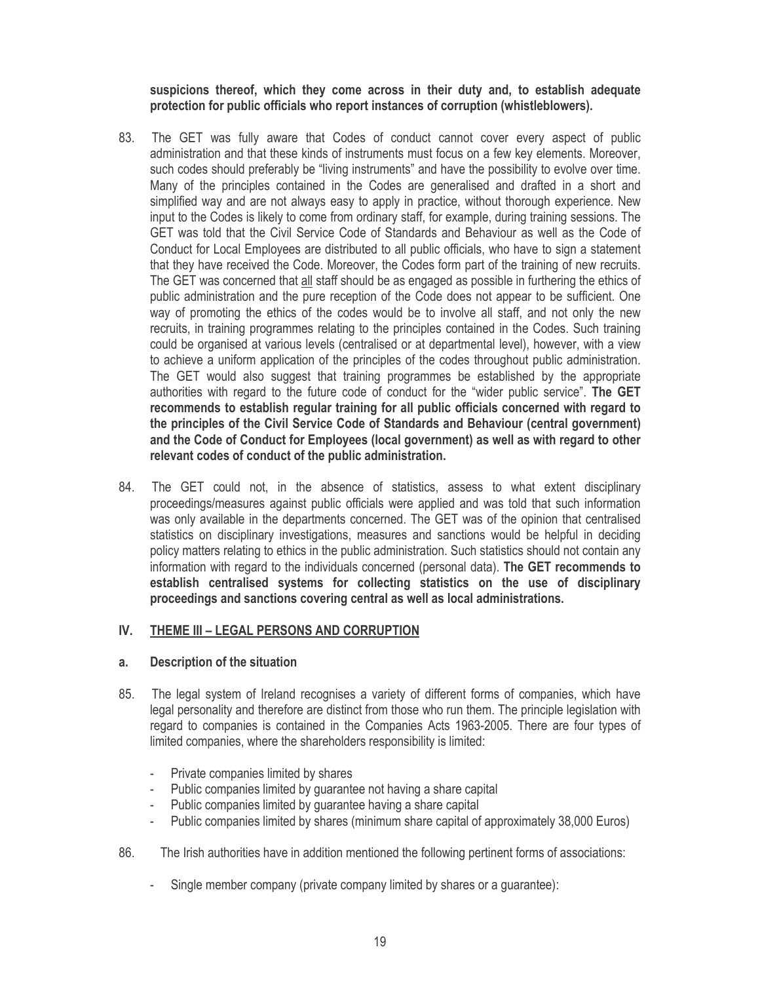suspicions thereof, which they come across in their duty and, to establish adequate protection for public officials who report instances of corruption (whistleblowers).

- 83. The GET was fully aware that Codes of conduct cannot cover every aspect of public administration and that these kinds of instruments must focus on a few key elements. Moreover, such codes should preferably be "living instruments" and have the possibility to evolve over time. Many of the principles contained in the Codes are generalised and drafted in a short and simplified way and are not always easy to apply in practice, without thorough experience. New input to the Codes is likely to come from ordinary staff, for example, during training sessions. The GET was told that the Civil Service Code of Standards and Behaviour as well as the Code of Conduct for Local Employees are distributed to all public officials, who have to sign a statement that they have received the Code. Moreover, the Codes form part of the training of new recruits. The GET was concerned that all staff should be as engaged as possible in furthering the ethics of public administration and the pure reception of the Code does not appear to be sufficient. One way of promoting the ethics of the codes would be to involve all staff, and not only the new recruits, in training programmes relating to the principles contained in the Codes. Such training could be organised at various levels (centralised or at departmental level), however, with a view to achieve a uniform application of the principles of the codes throughout public administration. The GET would also suggest that training programmes be established by the appropriate authorities with regard to the future code of conduct for the "wider public service". The GET recommends to establish regular training for all public officials concerned with regard to the principles of the Civil Service Code of Standards and Behaviour (central government) and the Code of Conduct for Employees (local government) as well as with regard to other relevant codes of conduct of the public administration.
- 84. The GET could not, in the absence of statistics, assess to what extent disciplinary proceedings/measures against public officials were applied and was told that such information was only available in the departments concerned. The GET was of the opinion that centralised statistics on disciplinary investigations, measures and sanctions would be helpful in deciding policy matters relating to ethics in the public administration. Such statistics should not contain any information with regard to the individuals concerned (personal data). The GET recommends to establish centralised systems for collecting statistics on the use of disciplinary proceedings and sanctions covering central as well as local administrations.

#### IV. THEME III - LEGAL PERSONS AND CORRUPTION

#### a. Description of the situation

- 85. The legal system of Ireland recognises a variety of different forms of companies, which have legal personality and therefore are distinct from those who run them. The principle legislation with regard to companies is contained in the Companies Acts 1963-2005. There are four types of limited companies, where the shareholders responsibility is limited:
	- Private companies limited by shares
	- Public companies limited by guarantee not having a share capital
	- Public companies limited by guarantee having a share capital
	- Public companies limited by shares (minimum share capital of approximately 38,000 Euros)
- 86 The Irish authorities have in addition mentioned the following pertinent forms of associations:
	- Single member company (private company limited by shares or a quarantee):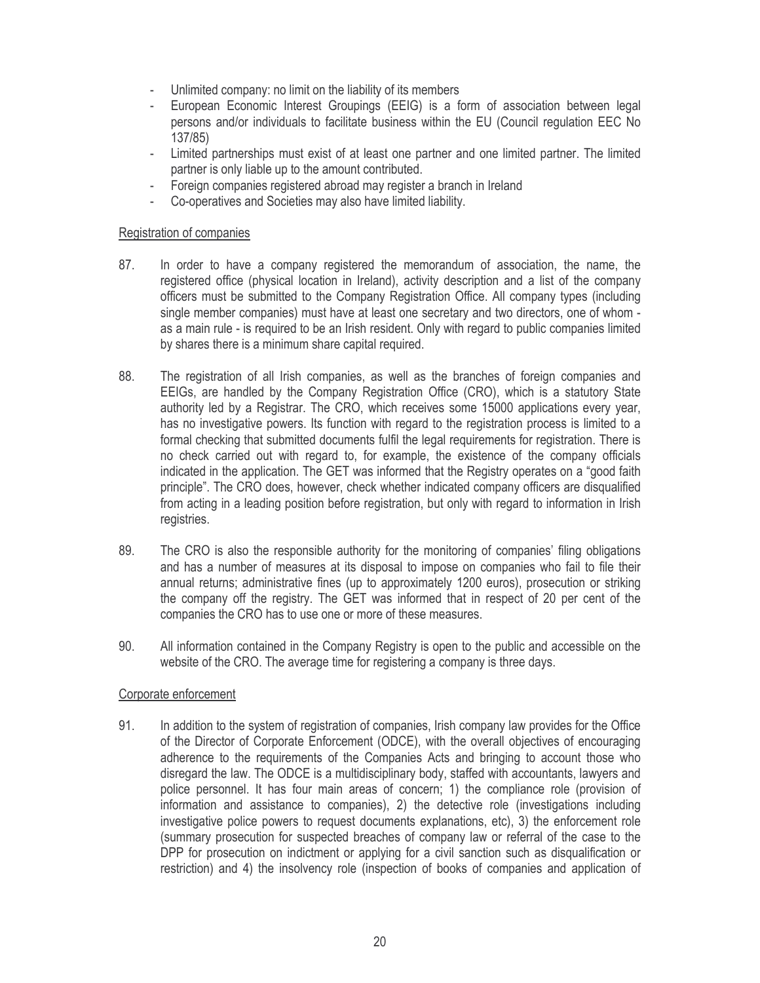- Unlimited company: no limit on the liability of its members
- European Economic Interest Groupings (EEIG) is a form of association between legal persons and/or individuals to facilitate business within the EU (Council regulation EEC No  $137/85$
- Limited partnerships must exist of at least one partner and one limited partner. The limited partner is only liable up to the amount contributed.
- Foreign companies registered abroad may register a branch in Ireland
- Co-operatives and Societies may also have limited liability.

### Registration of companies

- 87. In order to have a company registered the memorandum of association, the name, the registered office (physical location in Ireland), activity description and a list of the company officers must be submitted to the Company Registration Office. All company types (including single member companies) must have at least one secretary and two directors, one of whom as a main rule - is required to be an Irish resident. Only with regard to public companies limited by shares there is a minimum share capital required.
- 88. The registration of all Irish companies, as well as the branches of foreign companies and EEIGs, are handled by the Company Registration Office (CRO), which is a statutory State authority led by a Registrar. The CRO, which receives some 15000 applications every year. has no investigative powers. Its function with regard to the registration process is limited to a formal checking that submitted documents fulfil the legal requirements for registration. There is no check carried out with regard to, for example, the existence of the company officials indicated in the application. The GET was informed that the Registry operates on a "good faith" principle". The CRO does, however, check whether indicated company officers are disqualified from acting in a leading position before registration, but only with regard to information in Irish registries.
- 89. The CRO is also the responsible authority for the monitoring of companies' filing obligations and has a number of measures at its disposal to impose on companies who fail to file their annual returns; administrative fines (up to approximately 1200 euros), prosecution or striking the company off the registry. The GET was informed that in respect of 20 per cent of the companies the CRO has to use one or more of these measures.
- 90 All information contained in the Company Registry is open to the public and accessible on the website of the CRO. The average time for registering a company is three days.

### Corporate enforcement

91. In addition to the system of registration of companies, Irish company law provides for the Office of the Director of Corporate Enforcement (ODCE), with the overall objectives of encouraging adherence to the requirements of the Companies Acts and bringing to account those who disregard the law. The ODCE is a multidisciplinary body, staffed with accountants, lawyers and police personnel. It has four main areas of concern; 1) the compliance role (provision of information and assistance to companies), 2) the detective role (investigations including investigative police powers to request documents explanations, etc), 3) the enforcement role (summary prosecution for suspected breaches of company law or referral of the case to the DPP for prosecution on indictment or applying for a civil sanction such as disqualification or restriction) and 4) the insolvency role (inspection of books of companies and application of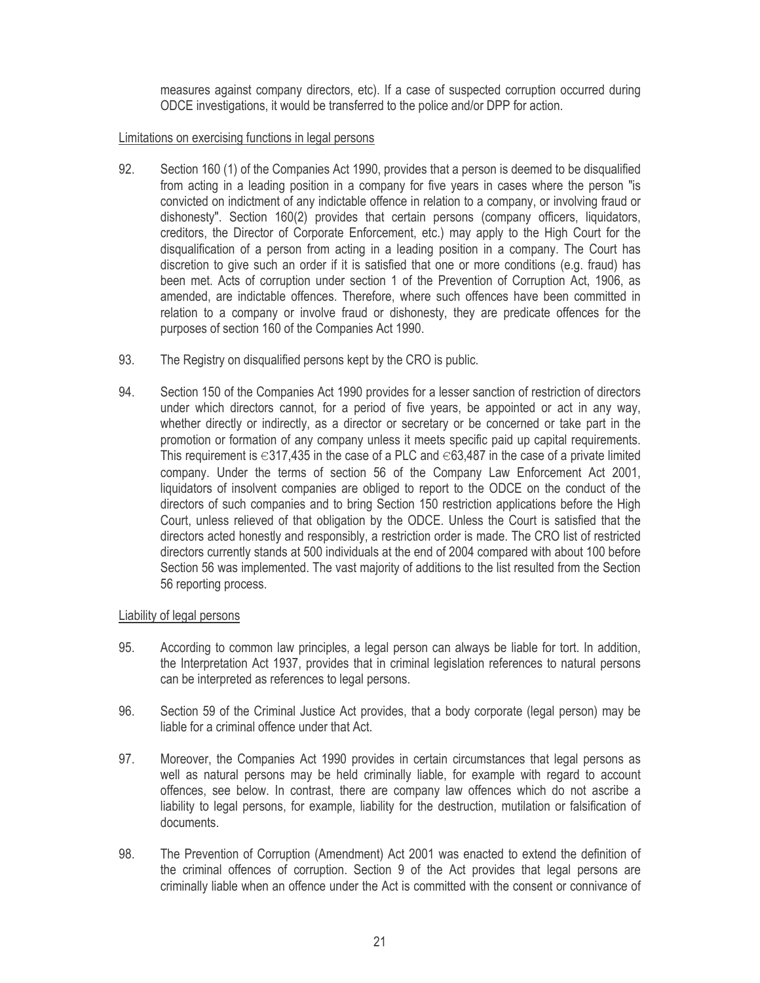measures against company directors, etc). If a case of suspected corruption occurred during ODCE investigations, it would be transferred to the police and/or DPP for action.

### Limitations on exercising functions in legal persons

- 92. Section 160 (1) of the Companies Act 1990, provides that a person is deemed to be disqualified from acting in a leading position in a company for five years in cases where the person "is convicted on indictment of any indictable offence in relation to a company, or involving fraud or dishonesty". Section 160(2) provides that certain persons (company officers, liquidators, creditors, the Director of Corporate Enforcement, etc.) may apply to the High Court for the disqualification of a person from acting in a leading position in a company. The Court has discretion to give such an order if it is satisfied that one or more conditions (e.g. fraud) has been met. Acts of corruption under section 1 of the Prevention of Corruption Act, 1906, as amended, are indictable offences. Therefore, where such offences have been committed in relation to a company or involve fraud or dishonesty, they are predicate offences for the purposes of section 160 of the Companies Act 1990.
- 93. The Registry on disqualified persons kept by the CRO is public.
- 94. Section 150 of the Companies Act 1990 provides for a lesser sanction of restriction of directors under which directors cannot, for a period of five years, be appointed or act in any way. whether directly or indirectly, as a director or secretary or be concerned or take part in the promotion or formation of any company unless it meets specific paid up capital requirements. This requirement is  $\in$ 317,435 in the case of a PLC and  $\in$ 63,487 in the case of a private limited company. Under the terms of section 56 of the Company Law Enforcement Act 2001, liquidators of insolvent companies are obliged to report to the ODCE on the conduct of the directors of such companies and to bring Section 150 restriction applications before the High Court, unless relieved of that obligation by the ODCE. Unless the Court is satisfied that the directors acted honestly and responsibly, a restriction order is made. The CRO list of restricted directors currently stands at 500 individuals at the end of 2004 compared with about 100 before Section 56 was implemented. The vast majority of additions to the list resulted from the Section 56 reporting process.

### Liability of legal persons

- 95. According to common law principles, a legal person can always be liable for tort. In addition, the Interpretation Act 1937, provides that in criminal legislation references to natural persons can be interpreted as references to legal persons.
- 96. Section 59 of the Criminal Justice Act provides, that a body corporate (legal person) may be liable for a criminal offence under that Act.
- 97. Moreover, the Companies Act 1990 provides in certain circumstances that legal persons as well as natural persons may be held criminally liable, for example with regard to account offences, see below. In contrast, there are company law offences which do not ascribe a liability to legal persons, for example, liability for the destruction, mutilation or falsification of documents
- 98. The Prevention of Corruption (Amendment) Act 2001 was enacted to extend the definition of the criminal offences of corruption. Section 9 of the Act provides that legal persons are criminally liable when an offence under the Act is committed with the consent or connivance of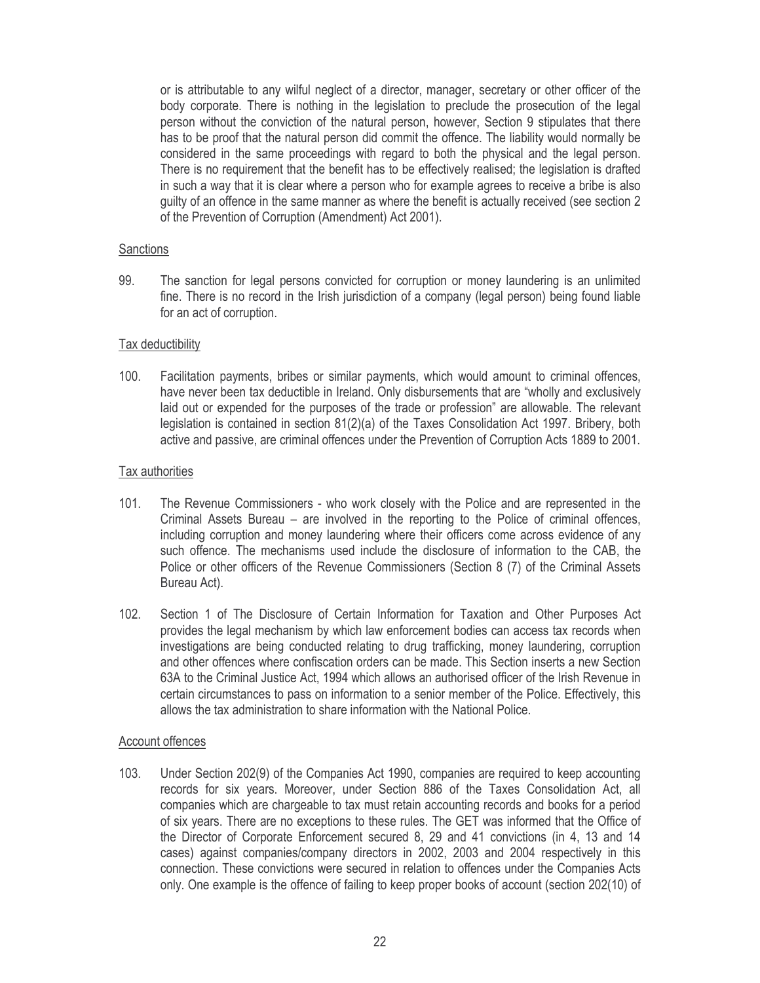or is attributable to any wilful neglect of a director, manager, secretary or other officer of the body corporate. There is nothing in the legislation to preclude the prosecution of the legal person without the conviction of the natural person, however, Section 9 stipulates that there has to be proof that the natural person did commit the offence. The liability would normally be considered in the same proceedings with regard to both the physical and the legal person. There is no requirement that the benefit has to be effectively realised; the legislation is drafted in such a way that it is clear where a person who for example agrees to receive a bribe is also quilty of an offence in the same manner as where the benefit is actually received (see section 2 of the Prevention of Corruption (Amendment) Act 2001).

### **Sanctions**

99. The sanction for legal persons convicted for corruption or money laundering is an unlimited fine. There is no record in the Irish jurisdiction of a company (legal person) being found liable for an act of corruption.

### Tax deductibility

 $100.$ Facilitation payments, bribes or similar payments, which would amount to criminal offences, have never been tax deductible in Ireland. Only disbursements that are "wholly and exclusively laid out or expended for the purposes of the trade or profession" are allowable. The relevant legislation is contained in section 81(2)(a) of the Taxes Consolidation Act 1997. Bribery, both active and passive, are criminal offences under the Prevention of Corruption Acts 1889 to 2001.

#### Tax authorities

- $101.$ The Revenue Commissioners - who work closely with the Police and are represented in the Criminal Assets Bureau – are involved in the reporting to the Police of criminal offences, including corruption and money laundering where their officers come across evidence of any such offence. The mechanisms used include the disclosure of information to the CAB, the Police or other officers of the Revenue Commissioners (Section 8 (7) of the Criminal Assets Bureau Act).
- $102.$ Section 1 of The Disclosure of Certain Information for Taxation and Other Purposes Act provides the legal mechanism by which law enforcement bodies can access tax records when investigations are being conducted relating to drug trafficking, money laundering, corruption and other offences where confiscation orders can be made. This Section inserts a new Section 63A to the Criminal Justice Act, 1994 which allows an authorised officer of the Irish Revenue in certain circumstances to pass on information to a senior member of the Police. Effectively, this allows the tax administration to share information with the National Police.

#### Account offences

103. Under Section 202(9) of the Companies Act 1990, companies are required to keep accounting records for six years. Moreover, under Section 886 of the Taxes Consolidation Act, all companies which are chargeable to tax must retain accounting records and books for a period of six years. There are no exceptions to these rules. The GET was informed that the Office of the Director of Corporate Enforcement secured 8, 29 and 41 convictions (in 4, 13 and 14 cases) against companies/company directors in 2002, 2003 and 2004 respectively in this connection. These convictions were secured in relation to offences under the Companies Acts only. One example is the offence of failing to keep proper books of account (section 202(10) of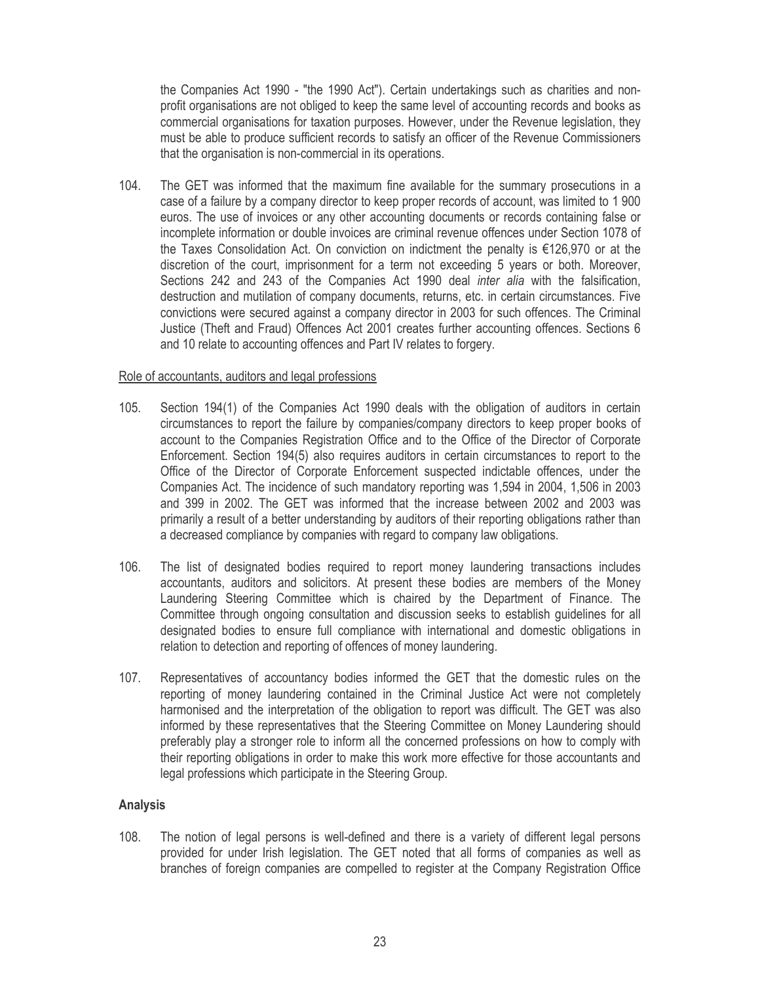the Companies Act 1990 - "the 1990 Act"). Certain undertakings such as charities and nonprofit organisations are not obliged to keep the same level of accounting records and books as commercial organisations for taxation purposes. However, under the Revenue legislation, they must be able to produce sufficient records to satisfy an officer of the Revenue Commissioners that the organisation is non-commercial in its operations.

 $104.$ The GET was informed that the maximum fine available for the summary prosecutions in a case of a failure by a company director to keep proper records of account, was limited to 1900 euros. The use of invoices or any other accounting documents or records containing false or incomplete information or double invoices are criminal revenue offences under Section 1078 of the Taxes Consolidation Act. On conviction on indictment the penalty is €126,970 or at the discretion of the court, imprisonment for a term not exceeding 5 years or both. Moreover, Sections 242 and 243 of the Companies Act 1990 deal inter alia with the falsification, destruction and mutilation of company documents, returns, etc. in certain circumstances. Five convictions were secured against a company director in 2003 for such offences. The Criminal Justice (Theft and Fraud) Offences Act 2001 creates further accounting offences. Sections 6 and 10 relate to accounting offences and Part IV relates to forgery.

#### Role of accountants, auditors and legal professions

- $105$ Section 194(1) of the Companies Act 1990 deals with the obligation of auditors in certain circumstances to report the failure by companies/company directors to keep proper books of account to the Companies Registration Office and to the Office of the Director of Corporate Enforcement. Section 194(5) also requires auditors in certain circumstances to report to the Office of the Director of Corporate Enforcement suspected indictable offences, under the Companies Act. The incidence of such mandatory reporting was 1,594 in 2004, 1,506 in 2003 and 399 in 2002. The GET was informed that the increase between 2002 and 2003 was primarily a result of a better understanding by auditors of their reporting obligations rather than a decreased compliance by companies with regard to company law obligations.
- 106. The list of designated bodies required to report money laundering transactions includes accountants, auditors and solicitors. At present these bodies are members of the Money Laundering Steering Committee which is chaired by the Department of Finance. The Committee through ongoing consultation and discussion seeks to establish guidelines for all designated bodies to ensure full compliance with international and domestic obligations in relation to detection and reporting of offences of money laundering.
- $107.$ Representatives of accountancy bodies informed the GET that the domestic rules on the reporting of money laundering contained in the Criminal Justice Act were not completely harmonised and the interpretation of the obligation to report was difficult. The GET was also informed by these representatives that the Steering Committee on Money Laundering should preferably play a stronger role to inform all the concerned professions on how to comply with their reporting obligations in order to make this work more effective for those accountants and legal professions which participate in the Steering Group.

### **Analysis**

 $108.$ The notion of legal persons is well-defined and there is a variety of different legal persons provided for under Irish legislation. The GET noted that all forms of companies as well as branches of foreign companies are compelled to register at the Company Registration Office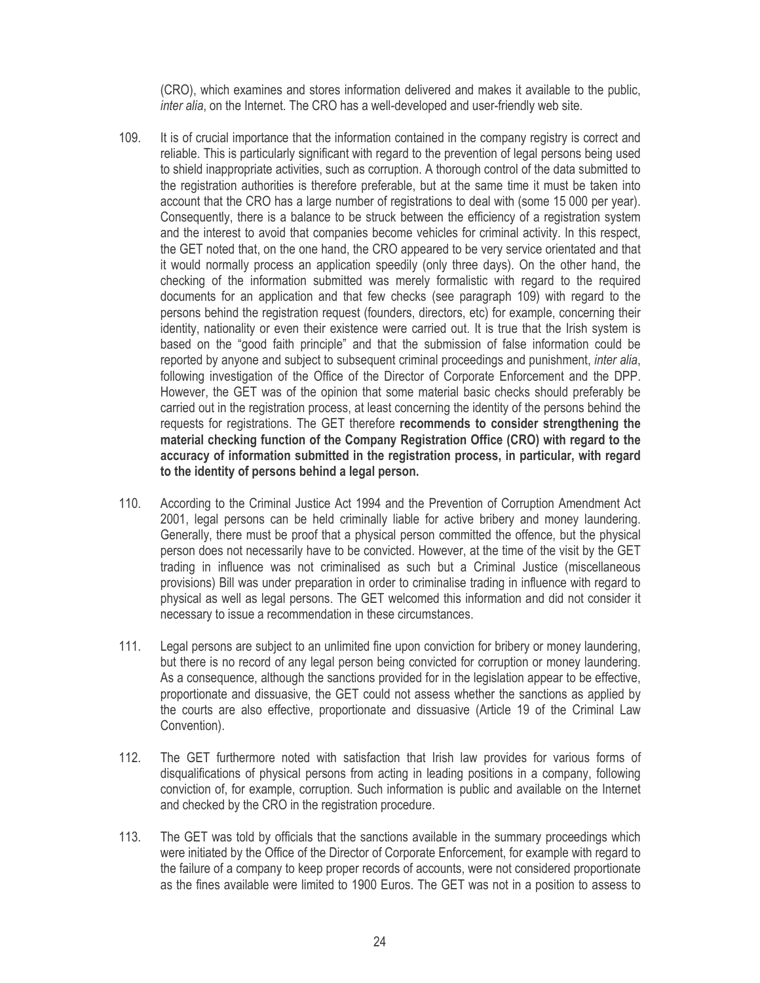(CRO), which examines and stores information delivered and makes it available to the public, inter alia, on the Internet. The CRO has a well-developed and user-friendly web site.

- $109.$ It is of crucial importance that the information contained in the company registry is correct and reliable. This is particularly significant with regard to the prevention of legal persons being used to shield inappropriate activities, such as corruption. A thorough control of the data submitted to the registration authorities is therefore preferable, but at the same time it must be taken into account that the CRO has a large number of registrations to deal with (some 15 000 per year). Consequently, there is a balance to be struck between the efficiency of a registration system and the interest to avoid that companies become vehicles for criminal activity. In this respect, the GET noted that, on the one hand, the CRO appeared to be very service orientated and that it would normally process an application speedily (only three days). On the other hand, the checking of the information submitted was merely formalistic with regard to the required documents for an application and that few checks (see paragraph 109) with regard to the persons behind the registration request (founders, directors, etc) for example, concerning their identity, nationality or even their existence were carried out. It is true that the Irish system is based on the "good faith principle" and that the submission of false information could be reported by anyone and subject to subsequent criminal proceedings and punishment, *inter alia*, following investigation of the Office of the Director of Corporate Enforcement and the DPP. However, the GET was of the opinion that some material basic checks should preferably be carried out in the registration process, at least concerning the identity of the persons behind the requests for registrations. The GET therefore recommends to consider strengthening the material checking function of the Company Registration Office (CRO) with regard to the accuracy of information submitted in the registration process, in particular, with regard to the identity of persons behind a legal person.
- 110. According to the Criminal Justice Act 1994 and the Prevention of Corruption Amendment Act 2001, legal persons can be held criminally liable for active bribery and money laundering. Generally, there must be proof that a physical person committed the offence, but the physical person does not necessarily have to be convicted. However, at the time of the visit by the GET trading in influence was not criminalised as such but a Criminal Justice (miscellaneous provisions) Bill was under preparation in order to criminalise trading in influence with regard to physical as well as legal persons. The GET welcomed this information and did not consider it necessary to issue a recommendation in these circumstances.
- $111.$ Legal persons are subject to an unlimited fine upon conviction for bribery or money laundering. but there is no record of any legal person being convicted for corruption or money laundering. As a consequence, although the sanctions provided for in the legislation appear to be effective, proportionate and dissuasive, the GET could not assess whether the sanctions as applied by the courts are also effective, proportionate and dissuasive (Article 19 of the Criminal Law Convention).
- $112.$ The GET furthermore noted with satisfaction that Irish law provides for various forms of disqualifications of physical persons from acting in leading positions in a company, following conviction of, for example, corruption. Such information is public and available on the Internet and checked by the CRO in the registration procedure.
- $113.$ The GET was told by officials that the sanctions available in the summary proceedings which were initiated by the Office of the Director of Corporate Enforcement, for example with regard to the failure of a company to keep proper records of accounts, were not considered proportionate as the fines available were limited to 1900 Euros. The GET was not in a position to assess to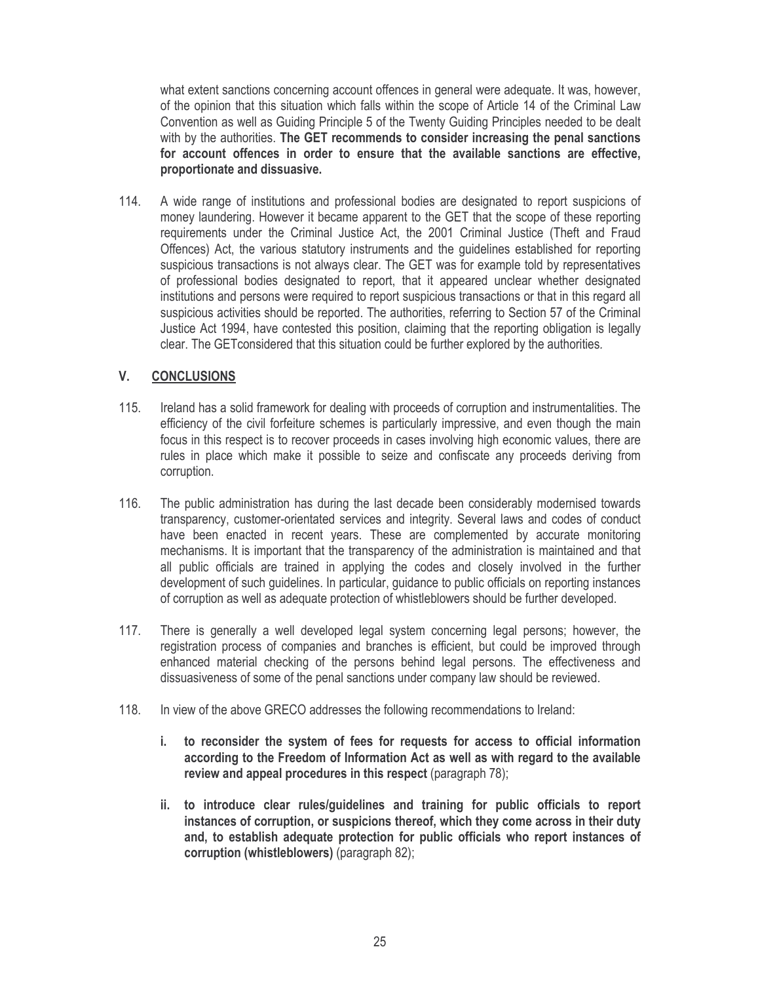what extent sanctions concerning account offences in general were adequate. It was, however, of the opinion that this situation which falls within the scope of Article 14 of the Criminal Law Convention as well as Guiding Principle 5 of the Twenty Guiding Principles needed to be dealt with by the authorities. The GET recommends to consider increasing the penal sanctions for account offences in order to ensure that the available sanctions are effective. proportionate and dissuasive.

114. A wide range of institutions and professional bodies are designated to report suspicions of money laundering. However it became apparent to the GET that the scope of these reporting requirements under the Criminal Justice Act, the 2001 Criminal Justice (Theft and Fraud Offences) Act, the various statutory instruments and the guidelines established for reporting suspicious transactions is not always clear. The GET was for example told by representatives of professional bodies designated to report, that it appeared unclear whether designated institutions and persons were required to report suspicious transactions or that in this regard all suspicious activities should be reported. The authorities, referring to Section 57 of the Criminal Justice Act 1994, have contested this position, claiming that the reporting obligation is legally clear. The GET considered that this situation could be further explored by the authorities.

#### V. **CONCLUSIONS**

- $115$ Ireland has a solid framework for dealing with proceeds of corruption and instrumentalities. The efficiency of the civil forfeiture schemes is particularly impressive, and even though the main focus in this respect is to recover proceeds in cases involving high economic values, there are rules in place which make it possible to seize and confiscate any proceeds deriving from corruption.
- 116. The public administration has during the last decade been considerably modernised towards transparency, customer-orientated services and integrity. Several laws and codes of conduct have been enacted in recent years. These are complemented by accurate monitoring mechanisms. It is important that the transparency of the administration is maintained and that all public officials are trained in applying the codes and closely involved in the further development of such guidelines. In particular, guidance to public officials on reporting instances of corruption as well as adequate protection of whistleblowers should be further developed.
- $117.$ There is generally a well developed legal system concerning legal persons; however, the registration process of companies and branches is efficient, but could be improved through enhanced material checking of the persons behind legal persons. The effectiveness and dissuasiveness of some of the penal sanctions under company law should be reviewed.
- 118. In view of the above GRECO addresses the following recommendations to Ireland:
	- i. to reconsider the system of fees for requests for access to official information according to the Freedom of Information Act as well as with regard to the available review and appeal procedures in this respect (paragraph 78);
	- ii. to introduce clear rules/guidelines and training for public officials to report instances of corruption, or suspicions thereof, which they come across in their duty and, to establish adequate protection for public officials who report instances of corruption (whistleblowers) (paragraph 82);